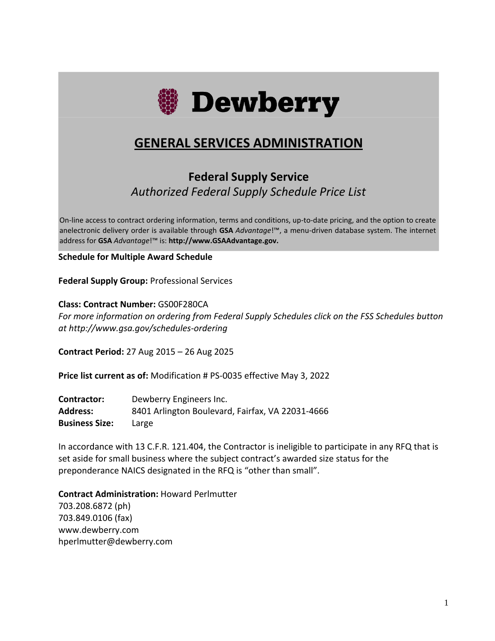

# **GENERAL SERVICES ADMINISTRATION**

# **Federal Supply Service** *Authorized Federal Supply Schedule Price List*

On-line access to contract ordering information, terms and conditions, up-to-date pricing, and the option to create anelectronic delivery order is available through **GSA** *Advantage*!™, a menu-driven database system. The internet address for **GSA** *Advantage*!™ is: **[http://www.GSAAdvantage.gov.](http://www.gsaadvantage.gov/)**

**Schedule for Multiple Award Schedule**

**Federal Supply Group:** Professional Services

**Class: Contract Number:** GS00F280CA *For more information on ordering from Federal Supply Schedules click on the FSS Schedules button at http://www.gsa.gov/schedules-ordering*

**Contract Period:** 27 Aug 2015 – 26 Aug 2025

**Price list current as of:** Modification # PS-0035 effective May 3, 2022

| Contractor:           | Dewberry Engineers Inc.                          |
|-----------------------|--------------------------------------------------|
| <b>Address:</b>       | 8401 Arlington Boulevard, Fairfax, VA 22031-4666 |
| <b>Business Size:</b> | Large                                            |

In accordance with 13 C.F.R. 121.404, the Contractor is ineligible to participate in any RFQ that is set aside for small business where the subject contract's awarded size status for the preponderance NAICS designated in the RFQ is "other than small".

**Contract Administration:** Howard Perlmutter 703.208.6872 (ph)

703.849.0106 (fax) www.dewberry.com hperlmutter@dewberry.com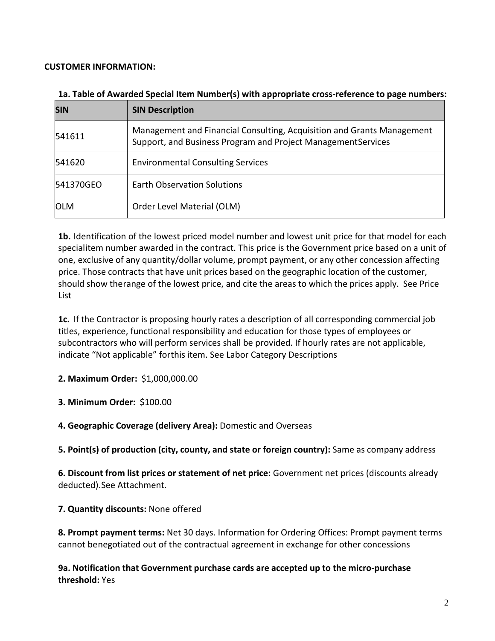#### **CUSTOMER INFORMATION:**

| <b>SIN</b> | <b>SIN Description</b>                                                                                                                 |
|------------|----------------------------------------------------------------------------------------------------------------------------------------|
| 541611     | Management and Financial Consulting, Acquisition and Grants Management<br>Support, and Business Program and Project ManagementServices |
| 541620     | <b>Environmental Consulting Services</b>                                                                                               |
| 541370GEO  | <b>Earth Observation Solutions</b>                                                                                                     |
| <b>OLM</b> | Order Level Material (OLM)                                                                                                             |

#### **1a. Table of Awarded Special Item Number(s) with appropriate cross-reference to page numbers:**

**1b.** Identification of the lowest priced model number and lowest unit price for that model for each specialitem number awarded in the contract. This price is the Government price based on a unit of one, exclusive of any quantity/dollar volume, prompt payment, or any other concession affecting price. Those contracts that have unit prices based on the geographic location of the customer, should show therange of the lowest price, and cite the areas to which the prices apply. See Price List

**1c.** If the Contractor is proposing hourly rates a description of all corresponding commercial job titles, experience, functional responsibility and education for those types of employees or subcontractors who will perform services shall be provided. If hourly rates are not applicable, indicate "Not applicable" forthis item. See Labor Category Descriptions

**2. Maximum Order:** \$1,000,000.00

**3. Minimum Order:** \$100.00

**4. Geographic Coverage (delivery Area):** Domestic and Overseas

**5. Point(s) of production (city, county, and state or foreign country):** Same as company address

**6. Discount from list prices or statement of net price:** Government net prices (discounts already deducted).See Attachment.

**7. Quantity discounts:** None offered

**8. Prompt payment terms:** Net 30 days. Information for Ordering Offices: Prompt payment terms cannot benegotiated out of the contractual agreement in exchange for other concessions

**9a. Notification that Government purchase cards are accepted up to the micro-purchase threshold:** Yes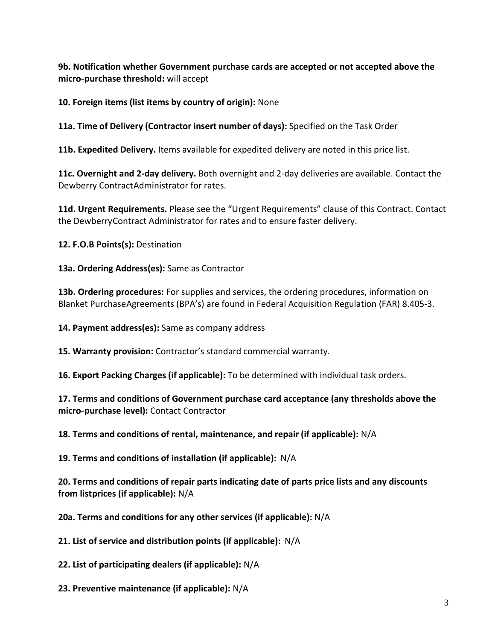**9b. Notification whether Government purchase cards are accepted or not accepted above the micro-purchase threshold:** will accept

**10. Foreign items (list items by country of origin):** None

**11a. Time of Delivery (Contractor insert number of days):** Specified on the Task Order

**11b. Expedited Delivery.** Items available for expedited delivery are noted in this price list.

**11c. Overnight and 2-day delivery.** Both overnight and 2-day deliveries are available. Contact the Dewberry ContractAdministrator for rates.

**11d. Urgent Requirements.** Please see the "Urgent Requirements" clause of this Contract. Contact the DewberryContract Administrator for rates and to ensure faster delivery.

**12. F.O.B Points(s):** Destination

**13a. Ordering Address(es):** Same as Contractor

**13b. Ordering procedures:** For supplies and services, the ordering procedures, information on Blanket PurchaseAgreements (BPA's) are found in Federal Acquisition Regulation (FAR) 8.405-3.

**14. Payment address(es):** Same as company address

**15. Warranty provision:** Contractor's standard commercial warranty.

**16. Export Packing Charges (if applicable):** To be determined with individual task orders.

**17. Terms and conditions of Government purchase card acceptance (any thresholds above the micro-purchase level):** Contact Contractor

**18. Terms and conditions of rental, maintenance, and repair (if applicable):** N/A

**19. Terms and conditions of installation (if applicable):** N/A

**20. Terms and conditions of repair parts indicating date of parts price lists and any discounts from listprices (if applicable):** N/A

**20a. Terms and conditions for any other services (if applicable):** N/A

**21. List of service and distribution points (if applicable):** N/A

**22. List of participating dealers (if applicable):** N/A

**23. Preventive maintenance (if applicable):** N/A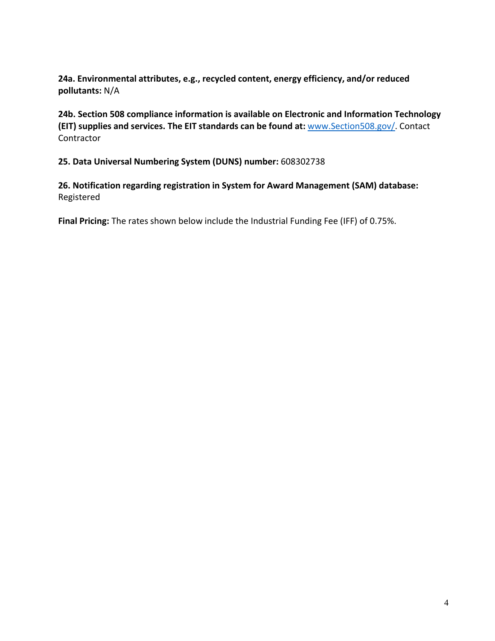**24a. Environmental attributes, e.g., recycled content, energy efficiency, and/or reduced pollutants:** N/A

**24b. Section 508 compliance information is available on Electronic and Information Technology (EIT) supplies and services. The EIT standards can be found at:** [www.Section508.gov/.](http://www.section508.gov/) Contact Contractor

**25. Data Universal Numbering System (DUNS) number:** 608302738

**26. Notification regarding registration in System for Award Management (SAM) database:** Registered

**Final Pricing:** The rates shown below include the Industrial Funding Fee (IFF) of 0.75%.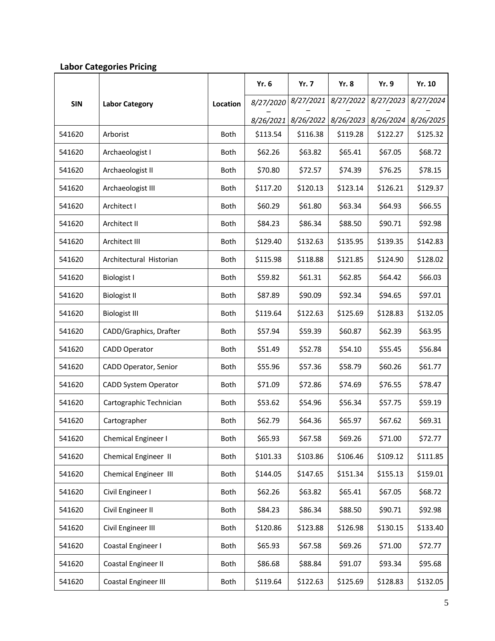|            |                         |             | Yr. 6     | <b>Yr. 7</b> | <b>Yr. 8</b> | Yr. 9                         | <b>Yr. 10</b> |
|------------|-------------------------|-------------|-----------|--------------|--------------|-------------------------------|---------------|
| <b>SIN</b> | <b>Labor Category</b>   | Location    | 8/27/2020 | 8/27/2021    | 8/27/2022    | 8/27/2023                     | 8/27/2024     |
|            |                         |             | 8/26/2021 | 8/26/2022    |              | 8/26/2023 8/26/2024 8/26/2025 |               |
| 541620     | Arborist                | <b>Both</b> | \$113.54  | \$116.38     | \$119.28     | \$122.27                      | \$125.32      |
| 541620     | Archaeologist I         | <b>Both</b> | \$62.26   | \$63.82      | \$65.41      | \$67.05                       | \$68.72       |
| 541620     | Archaeologist II        | <b>Both</b> | \$70.80   | \$72.57      | \$74.39      | \$76.25                       | \$78.15       |
| 541620     | Archaeologist III       | <b>Both</b> | \$117.20  | \$120.13     | \$123.14     | \$126.21                      | \$129.37      |
| 541620     | Architect I             | Both        | \$60.29   | \$61.80      | \$63.34      | \$64.93                       | \$66.55       |
| 541620     | Architect II            | <b>Both</b> | \$84.23   | \$86.34      | \$88.50      | \$90.71                       | \$92.98       |
| 541620     | Architect III           | <b>Both</b> | \$129.40  | \$132.63     | \$135.95     | \$139.35                      | \$142.83      |
| 541620     | Architectural Historian | <b>Both</b> | \$115.98  | \$118.88     | \$121.85     | \$124.90                      | \$128.02      |
| 541620     | <b>Biologist I</b>      | <b>Both</b> | \$59.82   | \$61.31      | \$62.85      | \$64.42                       | \$66.03       |
| 541620     | <b>Biologist II</b>     | <b>Both</b> | \$87.89   | \$90.09      | \$92.34      | \$94.65                       | \$97.01       |
| 541620     | <b>Biologist III</b>    | <b>Both</b> | \$119.64  | \$122.63     | \$125.69     | \$128.83                      | \$132.05      |
| 541620     | CADD/Graphics, Drafter  | <b>Both</b> | \$57.94   | \$59.39      | \$60.87      | \$62.39                       | \$63.95       |
| 541620     | <b>CADD Operator</b>    | <b>Both</b> | \$51.49   | \$52.78      | \$54.10      | \$55.45                       | \$56.84       |
| 541620     | CADD Operator, Senior   | <b>Both</b> | \$55.96   | \$57.36      | \$58.79      | \$60.26                       | \$61.77       |
| 541620     | CADD System Operator    | <b>Both</b> | \$71.09   | \$72.86      | \$74.69      | \$76.55                       | \$78.47       |
| 541620     | Cartographic Technician | Both        | \$53.62   | \$54.96      | \$56.34      | \$57.75                       | \$59.19       |
| 541620     | Cartographer            | Both        | \$62.79   | \$64.36      | \$65.97      | \$67.62                       | \$69.31       |
| 541620     | Chemical Engineer I     | Both        | \$65.93   | \$67.58      | \$69.26      | \$71.00                       | \$72.77       |
| 541620     | Chemical Engineer II    | Both        | \$101.33  | \$103.86     | \$106.46     | \$109.12                      | \$111.85      |
| 541620     | Chemical Engineer III   | Both        | \$144.05  | \$147.65     | \$151.34     | \$155.13                      | \$159.01      |
| 541620     | Civil Engineer I        | Both        | \$62.26   | \$63.82      | \$65.41      | \$67.05                       | \$68.72       |
| 541620     | Civil Engineer II       | Both        | \$84.23   | \$86.34      | \$88.50      | \$90.71                       | \$92.98       |
| 541620     | Civil Engineer III      | Both        | \$120.86  | \$123.88     | \$126.98     | \$130.15                      | \$133.40      |
| 541620     | Coastal Engineer I      | Both        | \$65.93   | \$67.58      | \$69.26      | \$71.00                       | \$72.77       |
| 541620     | Coastal Engineer II     | Both        | \$86.68   | \$88.84      | \$91.07      | \$93.34                       | \$95.68       |
| 541620     | Coastal Engineer III    | Both        | \$119.64  | \$122.63     | \$125.69     | \$128.83                      | \$132.05      |

#### **Labor Categories Pricing**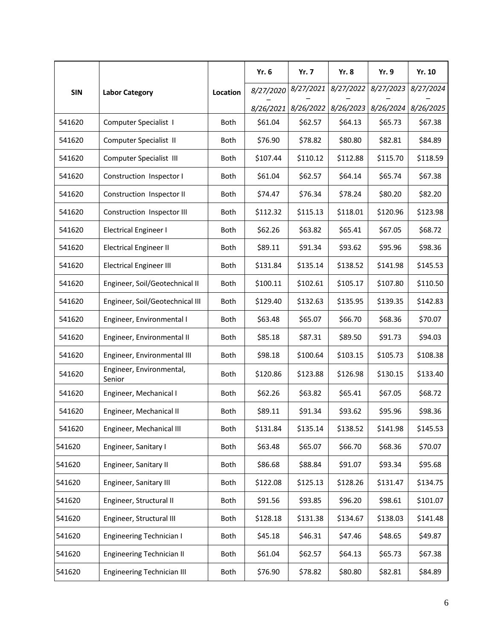|            |                                    |             | <b>Yr. 6</b> | <b>Yr. 7</b> | Yr. 8     | <b>Yr. 9</b> | Yr. 10    |
|------------|------------------------------------|-------------|--------------|--------------|-----------|--------------|-----------|
| <b>SIN</b> | <b>Labor Category</b>              | Location    | 8/27/2020    | 8/27/2021    | 8/27/2022 | 8/27/2023    | 8/27/2024 |
|            |                                    |             | 8/26/2021    | 8/26/2022    | 8/26/2023 | 8/26/2024    | 8/26/2025 |
| 541620     | Computer Specialist I              | <b>Both</b> | \$61.04      | \$62.57      | \$64.13   | \$65.73      | \$67.38   |
| 541620     | Computer Specialist II             | <b>Both</b> | \$76.90      | \$78.82      | \$80.80   | \$82.81      | \$84.89   |
| 541620     | Computer Specialist III            | Both        | \$107.44     | \$110.12     | \$112.88  | \$115.70     | \$118.59  |
| 541620     | Construction Inspector I           | <b>Both</b> | \$61.04      | \$62.57      | \$64.14   | \$65.74      | \$67.38   |
| 541620     | Construction Inspector II          | Both        | \$74.47      | \$76.34      | \$78.24   | \$80.20      | \$82.20   |
| 541620     | Construction Inspector III         | <b>Both</b> | \$112.32     | \$115.13     | \$118.01  | \$120.96     | \$123.98  |
| 541620     | <b>Electrical Engineer I</b>       | <b>Both</b> | \$62.26      | \$63.82      | \$65.41   | \$67.05      | \$68.72   |
| 541620     | <b>Electrical Engineer II</b>      | Both        | \$89.11      | \$91.34      | \$93.62   | \$95.96      | \$98.36   |
| 541620     | <b>Electrical Engineer III</b>     | <b>Both</b> | \$131.84     | \$135.14     | \$138.52  | \$141.98     | \$145.53  |
| 541620     | Engineer, Soil/Geotechnical II     | <b>Both</b> | \$100.11     | \$102.61     | \$105.17  | \$107.80     | \$110.50  |
| 541620     | Engineer, Soil/Geotechnical III    | <b>Both</b> | \$129.40     | \$132.63     | \$135.95  | \$139.35     | \$142.83  |
| 541620     | Engineer, Environmental I          | <b>Both</b> | \$63.48      | \$65.07      | \$66.70   | \$68.36      | \$70.07   |
| 541620     | Engineer, Environmental II         | <b>Both</b> | \$85.18      | \$87.31      | \$89.50   | \$91.73      | \$94.03   |
| 541620     | Engineer, Environmental III        | <b>Both</b> | \$98.18      | \$100.64     | \$103.15  | \$105.73     | \$108.38  |
| 541620     | Engineer, Environmental,<br>Senior | Both        | \$120.86     | \$123.88     | \$126.98  | \$130.15     | \$133.40  |
| 541620     | Engineer, Mechanical I             | <b>Both</b> | \$62.26      | \$63.82      | \$65.41   | \$67.05      | \$68.72   |
| 541620     | Engineer, Mechanical II            | <b>Both</b> | \$89.11      | \$91.34      | \$93.62   | \$95.96      | \$98.36   |
| 541620     | Engineer, Mechanical III           | Both        | \$131.84     | \$135.14     | \$138.52  | \$141.98     | \$145.53  |
| 541620     | Engineer, Sanitary I               | Both        | \$63.48      | \$65.07      | \$66.70   | \$68.36      | \$70.07   |
| 541620     | Engineer, Sanitary II              | Both        | \$86.68      | \$88.84      | \$91.07   | \$93.34      | \$95.68   |
| 541620     | Engineer, Sanitary III             | Both        | \$122.08     | \$125.13     | \$128.26  | \$131.47     | \$134.75  |
| 541620     | Engineer, Structural II            | Both        | \$91.56      | \$93.85      | \$96.20   | \$98.61      | \$101.07  |
| 541620     | Engineer, Structural III           | Both        | \$128.18     | \$131.38     | \$134.67  | \$138.03     | \$141.48  |
| 541620     | <b>Engineering Technician I</b>    | Both        | \$45.18      | \$46.31      | \$47.46   | \$48.65      | \$49.87   |
| 541620     | <b>Engineering Technician II</b>   | Both        | \$61.04      | \$62.57      | \$64.13   | \$65.73      | \$67.38   |
| 541620     | <b>Engineering Technician III</b>  | Both        | \$76.90      | \$78.82      | \$80.80   | \$82.81      | \$84.89   |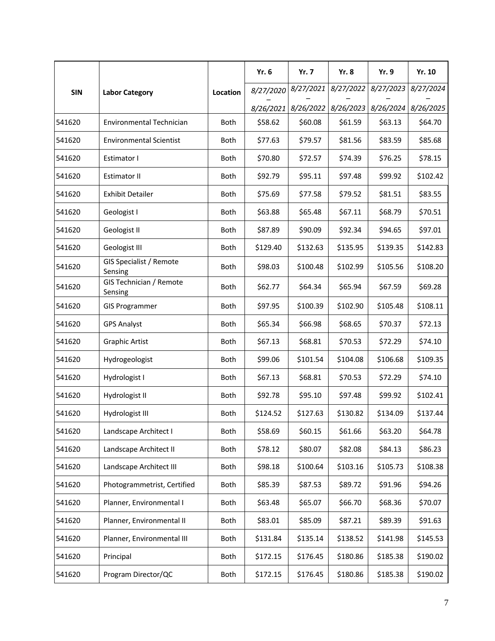|            |                                    |             | <b>Yr. 6</b> | <b>Yr. 7</b> | <b>Yr. 8</b> | Yr. 9     | Yr. 10    |
|------------|------------------------------------|-------------|--------------|--------------|--------------|-----------|-----------|
| <b>SIN</b> | <b>Labor Category</b>              | Location    | 8/27/2020    | 8/27/2021    | 8/27/2022    | 8/27/2023 | 8/27/2024 |
|            |                                    |             | 8/26/2021    | 8/26/2022    | 8/26/2023    | 8/26/2024 | 8/26/2025 |
| 541620     | Environmental Technician           | Both        | \$58.62      | \$60.08      | \$61.59      | \$63.13   | \$64.70   |
| 541620     | <b>Environmental Scientist</b>     | <b>Both</b> | \$77.63      | \$79.57      | \$81.56      | \$83.59   | \$85.68   |
| 541620     | Estimator I                        | Both        | \$70.80      | \$72.57      | \$74.39      | \$76.25   | \$78.15   |
| 541620     | <b>Estimator II</b>                | <b>Both</b> | \$92.79      | \$95.11      | \$97.48      | \$99.92   | \$102.42  |
| 541620     | <b>Exhibit Detailer</b>            | Both        | \$75.69      | \$77.58      | \$79.52      | \$81.51   | \$83.55   |
| 541620     | Geologist I                        | <b>Both</b> | \$63.88      | \$65.48      | \$67.11      | \$68.79   | \$70.51   |
| 541620     | Geologist II                       | <b>Both</b> | \$87.89      | \$90.09      | \$92.34      | \$94.65   | \$97.01   |
| 541620     | Geologist III                      | Both        | \$129.40     | \$132.63     | \$135.95     | \$139.35  | \$142.83  |
| 541620     | GIS Specialist / Remote<br>Sensing | Both        | \$98.03      | \$100.48     | \$102.99     | \$105.56  | \$108.20  |
| 541620     | GIS Technician / Remote<br>Sensing | <b>Both</b> | \$62.77      | \$64.34      | \$65.94      | \$67.59   | \$69.28   |
| 541620     | <b>GIS Programmer</b>              | Both        | \$97.95      | \$100.39     | \$102.90     | \$105.48  | \$108.11  |
| 541620     | <b>GPS Analyst</b>                 | Both        | \$65.34      | \$66.98      | \$68.65      | \$70.37   | \$72.13   |
| 541620     | <b>Graphic Artist</b>              | <b>Both</b> | \$67.13      | \$68.81      | \$70.53      | \$72.29   | \$74.10   |
| 541620     | Hydrogeologist                     | Both        | \$99.06      | \$101.54     | \$104.08     | \$106.68  | \$109.35  |
| 541620     | Hydrologist I                      | Both        | \$67.13      | \$68.81      | \$70.53      | \$72.29   | \$74.10   |
| 541620     | Hydrologist II                     | Both        | \$92.78      | \$95.10      | \$97.48      | \$99.92   | \$102.41  |
| 541620     | Hydrologist III                    | <b>Both</b> | \$124.52     | \$127.63     | \$130.82     | \$134.09  | \$137.44  |
| 541620     | Landscape Architect I              | Both        | \$58.69      | \$60.15      | \$61.66      | \$63.20   | \$64.78   |
| 541620     | Landscape Architect II             | Both        | \$78.12      | \$80.07      | \$82.08      | \$84.13   | \$86.23   |
| 541620     | Landscape Architect III            | Both        | \$98.18      | \$100.64     | \$103.16     | \$105.73  | \$108.38  |
| 541620     | Photogrammetrist, Certified        | Both        | \$85.39      | \$87.53      | \$89.72      | \$91.96   | \$94.26   |
| 541620     | Planner, Environmental I           | Both        | \$63.48      | \$65.07      | \$66.70      | \$68.36   | \$70.07   |
| 541620     | Planner, Environmental II          | Both        | \$83.01      | \$85.09      | \$87.21      | \$89.39   | \$91.63   |
| 541620     | Planner, Environmental III         | Both        | \$131.84     | \$135.14     | \$138.52     | \$141.98  | \$145.53  |
| 541620     | Principal                          | Both        | \$172.15     | \$176.45     | \$180.86     | \$185.38  | \$190.02  |
| 541620     | Program Director/QC                | Both        | \$172.15     | \$176.45     | \$180.86     | \$185.38  | \$190.02  |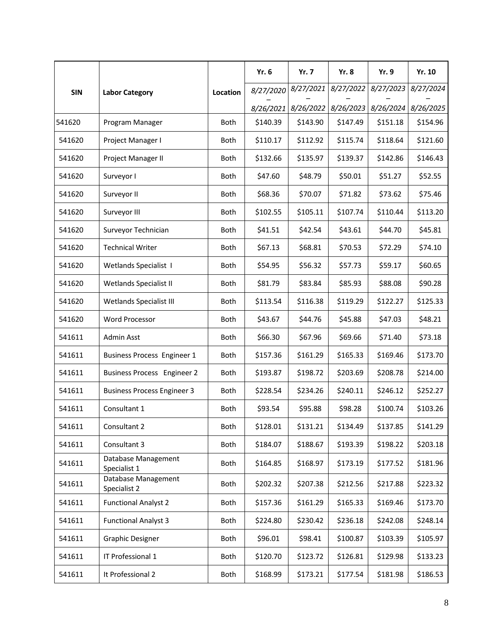|            |                                     |             | Yr. 6     | <b>Yr. 7</b> | <b>Yr. 8</b> | <b>Yr. 9</b> | Yr. 10    |
|------------|-------------------------------------|-------------|-----------|--------------|--------------|--------------|-----------|
| <b>SIN</b> | <b>Labor Category</b>               | Location    | 8/27/2020 | 8/27/2021    | 8/27/2022    | 8/27/2023    | 8/27/2024 |
|            |                                     |             | 8/26/2021 | 8/26/2022    | 8/26/2023    | 8/26/2024    | 8/26/2025 |
| 541620     | Program Manager                     | Both        | \$140.39  | \$143.90     | \$147.49     | \$151.18     | \$154.96  |
| 541620     | Project Manager I                   | <b>Both</b> | \$110.17  | \$112.92     | \$115.74     | \$118.64     | \$121.60  |
| 541620     | Project Manager II                  | <b>Both</b> | \$132.66  | \$135.97     | \$139.37     | \$142.86     | \$146.43  |
| 541620     | Surveyor I                          | Both        | \$47.60   | \$48.79      | \$50.01      | \$51.27      | \$52.55   |
| 541620     | Surveyor II                         | Both        | \$68.36   | \$70.07      | \$71.82      | \$73.62      | \$75.46   |
| 541620     | Surveyor III                        | <b>Both</b> | \$102.55  | \$105.11     | \$107.74     | \$110.44     | \$113.20  |
| 541620     | Surveyor Technician                 | <b>Both</b> | \$41.51   | \$42.54      | \$43.61      | \$44.70      | \$45.81   |
| 541620     | <b>Technical Writer</b>             | <b>Both</b> | \$67.13   | \$68.81      | \$70.53      | \$72.29      | \$74.10   |
| 541620     | <b>Wetlands Specialist 1</b>        | <b>Both</b> | \$54.95   | \$56.32      | \$57.73      | \$59.17      | \$60.65   |
| 541620     | Wetlands Specialist II              | <b>Both</b> | \$81.79   | \$83.84      | \$85.93      | \$88.08      | \$90.28   |
| 541620     | Wetlands Specialist III             | Both        | \$113.54  | \$116.38     | \$119.29     | \$122.27     | \$125.33  |
| 541620     | <b>Word Processor</b>               | <b>Both</b> | \$43.67   | \$44.76      | \$45.88      | \$47.03      | \$48.21   |
| 541611     | Admin Asst                          | <b>Both</b> | \$66.30   | \$67.96      | \$69.66      | \$71.40      | \$73.18   |
| 541611     | <b>Business Process Engineer 1</b>  | <b>Both</b> | \$157.36  | \$161.29     | \$165.33     | \$169.46     | \$173.70  |
| 541611     | <b>Business Process Engineer 2</b>  | <b>Both</b> | \$193.87  | \$198.72     | \$203.69     | \$208.78     | \$214.00  |
| 541611     | <b>Business Process Engineer 3</b>  | Both        | \$228.54  | \$234.26     | \$240.11     | \$246.12     | \$252.27  |
| 541611     | Consultant 1                        | <b>Both</b> | \$93.54   | \$95.88      | \$98.28      | \$100.74     | \$103.26  |
| 541611     | Consultant 2                        | Both        | \$128.01  | \$131.21     | \$134.49     | \$137.85     | \$141.29  |
| 541611     | Consultant 3                        | Both        | \$184.07  | \$188.67     | \$193.39     | \$198.22     | \$203.18  |
| 541611     | Database Management<br>Specialist 1 | Both        | \$164.85  | \$168.97     | \$173.19     | \$177.52     | \$181.96  |
| 541611     | Database Management<br>Specialist 2 | Both        | \$202.32  | \$207.38     | \$212.56     | \$217.88     | \$223.32  |
| 541611     | <b>Functional Analyst 2</b>         | Both        | \$157.36  | \$161.29     | \$165.33     | \$169.46     | \$173.70  |
| 541611     | <b>Functional Analyst 3</b>         | Both        | \$224.80  | \$230.42     | \$236.18     | \$242.08     | \$248.14  |
| 541611     | <b>Graphic Designer</b>             | Both        | \$96.01   | \$98.41      | \$100.87     | \$103.39     | \$105.97  |
| 541611     | IT Professional 1                   | Both        | \$120.70  | \$123.72     | \$126.81     | \$129.98     | \$133.23  |
| 541611     | It Professional 2                   | Both        | \$168.99  | \$173.21     | \$177.54     | \$181.98     | \$186.53  |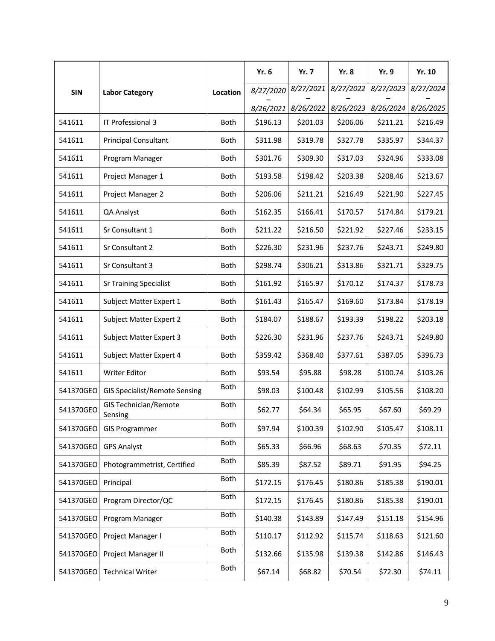|            |                                         |             | Yr. 6     | <b>Yr. 7</b> | <b>Yr. 8</b> | <b>Yr. 9</b> | Yr. 10    |
|------------|-----------------------------------------|-------------|-----------|--------------|--------------|--------------|-----------|
| <b>SIN</b> | <b>Labor Category</b>                   | Location    | 8/27/2020 | 8/27/2021    | 8/27/2022    | 8/27/2023    | 8/27/2024 |
|            |                                         |             | 8/26/2021 | 8/26/2022    | 8/26/2023    | 8/26/2024    | 8/26/2025 |
| 541611     | IT Professional 3                       | Both        | \$196.13  | \$201.03     | \$206.06     | \$211.21     | \$216.49  |
| 541611     | <b>Principal Consultant</b>             | <b>Both</b> | \$311.98  | \$319.78     | \$327.78     | \$335.97     | \$344.37  |
| 541611     | Program Manager                         | Both        | \$301.76  | \$309.30     | \$317.03     | \$324.96     | \$333.08  |
| 541611     | Project Manager 1                       | Both        | \$193.58  | \$198.42     | \$203.38     | \$208.46     | \$213.67  |
| 541611     | Project Manager 2                       | Both        | \$206.06  | \$211.21     | \$216.49     | \$221.90     | \$227.45  |
| 541611     | QA Analyst                              | <b>Both</b> | \$162.35  | \$166.41     | \$170.57     | \$174.84     | \$179.21  |
| 541611     | Sr Consultant 1                         | <b>Both</b> | \$211.22  | \$216.50     | \$221.92     | \$227.46     | \$233.15  |
| 541611     | Sr Consultant 2                         | <b>Both</b> | \$226.30  | \$231.96     | \$237.76     | \$243.71     | \$249.80  |
| 541611     | Sr Consultant 3                         | <b>Both</b> | \$298.74  | \$306.21     | \$313.86     | \$321.71     | \$329.75  |
| 541611     | <b>Sr Training Specialist</b>           | <b>Both</b> | \$161.92  | \$165.97     | \$170.12     | \$174.37     | \$178.73  |
| 541611     | Subject Matter Expert 1                 | Both        | \$161.43  | \$165.47     | \$169.60     | \$173.84     | \$178.19  |
| 541611     | Subject Matter Expert 2                 | <b>Both</b> | \$184.07  | \$188.67     | \$193.39     | \$198.22     | \$203.18  |
| 541611     | Subject Matter Expert 3                 | <b>Both</b> | \$226.30  | \$231.96     | \$237.76     | \$243.71     | \$249.80  |
| 541611     | Subject Matter Expert 4                 | <b>Both</b> | \$359.42  | \$368.40     | \$377.61     | \$387.05     | \$396.73  |
| 541611     | <b>Writer Editor</b>                    | Both        | \$93.54   | \$95.88      | \$98.28      | \$100.74     | \$103.26  |
| 541370GEO  | <b>GIS Specialist/Remote Sensing</b>    | Both        | \$98.03   | \$100.48     | \$102.99     | \$105.56     | \$108.20  |
| 541370GEO  | <b>GIS Technician/Remote</b><br>Sensing | <b>Both</b> | \$62.77   | \$64.34      | \$65.95      | \$67.60      | \$69.29   |
| 541370GEO  | <b>GIS Programmer</b>                   | Both        | \$97.94   | \$100.39     | \$102.90     | \$105.47     | \$108.11  |
| 541370GEO  | <b>GPS Analyst</b>                      | Both        | \$65.33   | \$66.96      | \$68.63      | \$70.35      | \$72.11   |
| 541370GEO  | Photogrammetrist, Certified             | Both        | \$85.39   | \$87.52      | \$89.71      | \$91.95      | \$94.25   |
| 541370GEO  | Principal                               | Both        | \$172.15  | \$176.45     | \$180.86     | \$185.38     | \$190.01  |
| 541370GEO  | Program Director/QC                     | Both        | \$172.15  | \$176.45     | \$180.86     | \$185.38     | \$190.01  |
| 541370GEO  | Program Manager                         | Both        | \$140.38  | \$143.89     | \$147.49     | \$151.18     | \$154.96  |
| 541370GEO  | Project Manager I                       | Both        | \$110.17  | \$112.92     | \$115.74     | \$118.63     | \$121.60  |
| 541370GEO  | Project Manager II                      | Both        | \$132.66  | \$135.98     | \$139.38     | \$142.86     | \$146.43  |
| 541370GEO  | <b>Technical Writer</b>                 | Both        | \$67.14   | \$68.82      | \$70.54      | \$72.30      | \$74.11   |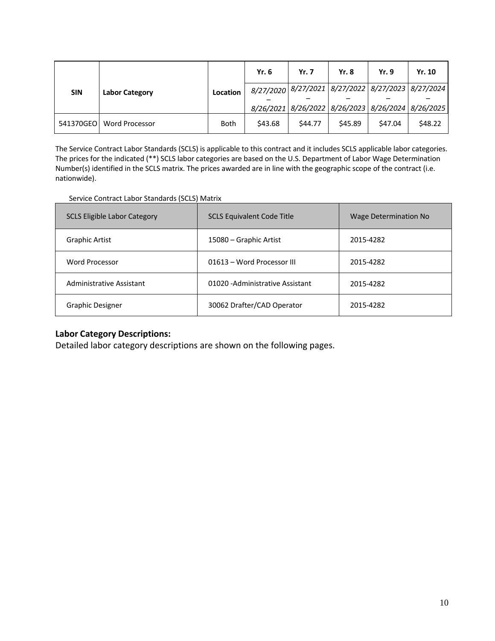|            | <b>Labor Category</b> |             | <b>Yr. 6</b>                                      | <b>Yr. 7</b> | <b>Yr. 8</b> | Yr. 9   | Yr. 10                                            |
|------------|-----------------------|-------------|---------------------------------------------------|--------------|--------------|---------|---------------------------------------------------|
| <b>SIN</b> |                       | Location    | 8/27/2020 8/27/2021 8/27/2022 8/27/2023 8/27/2024 |              |              |         |                                                   |
|            |                       |             |                                                   |              |              |         |                                                   |
|            |                       |             |                                                   |              |              |         | 8/26/2021 8/26/2022 8/26/2023 8/26/2024 8/26/2025 |
| 541370GEO  | <b>Word Processor</b> | <b>Both</b> | \$43.68                                           | \$44.77      | \$45.89      | \$47.04 | \$48.22                                           |

The Service Contract Labor Standards (SCLS) is applicable to this contract and it includes SCLS applicable labor categories. The prices for the indicated (\*\*) SCLS labor categories are based on the U.S. Department of Labor Wage Determination Number(s) identified in the SCLS matrix. The prices awarded are in line with the geographic scope of the contract (i.e. nationwide).

#### Service Contract Labor Standards (SCLS) Matrix

| <b>SCLS Eligible Labor Category</b> | <b>SCLS Equivalent Code Title</b> | <b>Wage Determination No</b> |
|-------------------------------------|-----------------------------------|------------------------------|
| Graphic Artist                      | 15080 – Graphic Artist            | 2015-4282                    |
| Word Processor                      | 01613 - Word Processor III        | 2015-4282                    |
| Administrative Assistant            | 01020 - Administrative Assistant  | 2015-4282                    |
| Graphic Designer                    | 30062 Drafter/CAD Operator        | 2015-4282                    |

#### **Labor Category Descriptions:**

Detailed labor category descriptions are shown on the following pages.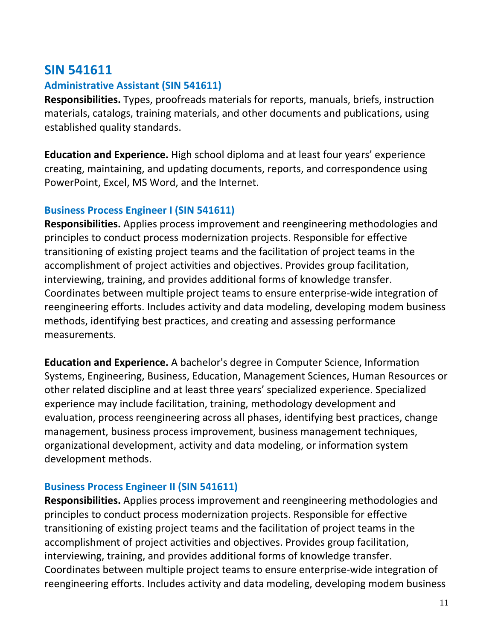# **SIN 541611**

### **Administrative Assistant (SIN 541611)**

**Responsibilities.** Types, proofreads materials for reports, manuals, briefs, instruction materials, catalogs, training materials, and other documents and publications, using established quality standards.

**Education and Experience.** High school diploma and at least four years' experience creating, maintaining, and updating documents, reports, and correspondence using PowerPoint, Excel, MS Word, and the Internet.

## **Business Process Engineer I (SIN 541611)**

**Responsibilities.** Applies process improvement and reengineering methodologies and principles to conduct process modernization projects. Responsible for effective transitioning of existing project teams and the facilitation of project teams in the accomplishment of project activities and objectives. Provides group facilitation, interviewing, training, and provides additional forms of knowledge transfer. Coordinates between multiple project teams to ensure enterprise-wide integration of reengineering efforts. Includes activity and data modeling, developing modem business methods, identifying best practices, and creating and assessing performance measurements.

**Education and Experience.** A bachelor's degree in Computer Science, Information Systems, Engineering, Business, Education, Management Sciences, Human Resources or other related discipline and at least three years' specialized experience. Specialized experience may include facilitation, training, methodology development and evaluation, process reengineering across all phases, identifying best practices, change management, business process improvement, business management techniques, organizational development, activity and data modeling, or information system development methods.

### **Business Process Engineer II (SIN 541611)**

**Responsibilities.** Applies process improvement and reengineering methodologies and principles to conduct process modernization projects. Responsible for effective transitioning of existing project teams and the facilitation of project teams in the accomplishment of project activities and objectives. Provides group facilitation, interviewing, training, and provides additional forms of knowledge transfer. Coordinates between multiple project teams to ensure enterprise-wide integration of reengineering efforts. Includes activity and data modeling, developing modem business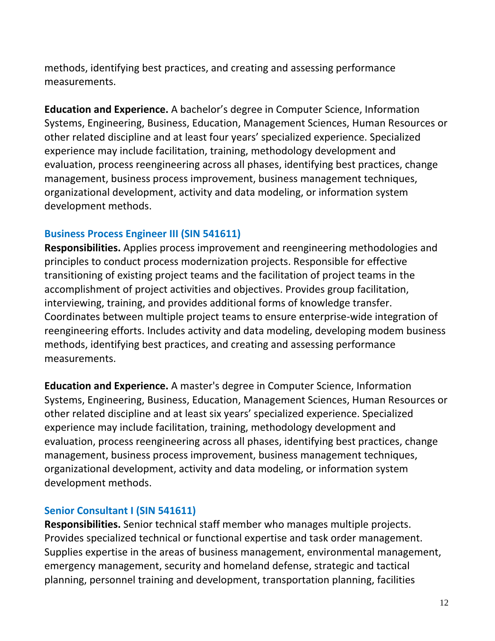methods, identifying best practices, and creating and assessing performance measurements.

**Education and Experience.** A bachelor's degree in Computer Science, Information Systems, Engineering, Business, Education, Management Sciences, Human Resources or other related discipline and at least four years' specialized experience. Specialized experience may include facilitation, training, methodology development and evaluation, process reengineering across all phases, identifying best practices, change management, business process improvement, business management techniques, organizational development, activity and data modeling, or information system development methods.

### **Business Process Engineer III (SIN 541611)**

**Responsibilities.** Applies process improvement and reengineering methodologies and principles to conduct process modernization projects. Responsible for effective transitioning of existing project teams and the facilitation of project teams in the accomplishment of project activities and objectives. Provides group facilitation, interviewing, training, and provides additional forms of knowledge transfer. Coordinates between multiple project teams to ensure enterprise-wide integration of reengineering efforts. Includes activity and data modeling, developing modem business methods, identifying best practices, and creating and assessing performance measurements.

**Education and Experience.** A master's degree in Computer Science, Information Systems, Engineering, Business, Education, Management Sciences, Human Resources or other related discipline and at least six years' specialized experience. Specialized experience may include facilitation, training, methodology development and evaluation, process reengineering across all phases, identifying best practices, change management, business process improvement, business management techniques, organizational development, activity and data modeling, or information system development methods.

#### **Senior Consultant I (SIN 541611)**

**Responsibilities.** Senior technical staff member who manages multiple projects. Provides specialized technical or functional expertise and task order management. Supplies expertise in the areas of business management, environmental management, emergency management, security and homeland defense, strategic and tactical planning, personnel training and development, transportation planning, facilities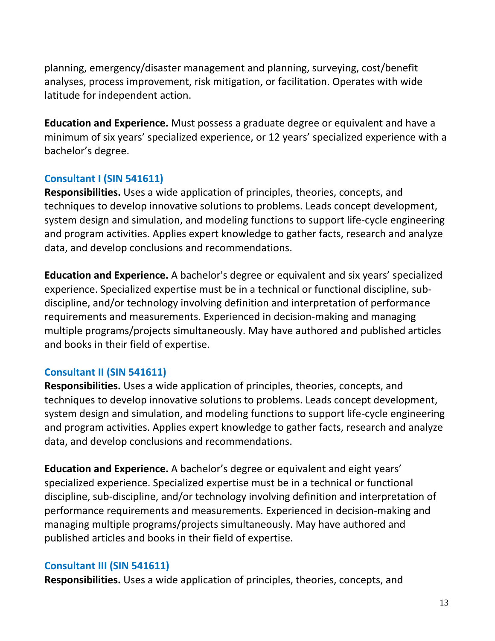planning, emergency/disaster management and planning, surveying, cost/benefit analyses, process improvement, risk mitigation, or facilitation. Operates with wide latitude for independent action.

**Education and Experience.** Must possess a graduate degree or equivalent and have a minimum of six years' specialized experience, or 12 years' specialized experience with a bachelor's degree.

### **Consultant I (SIN 541611)**

**Responsibilities.** Uses a wide application of principles, theories, concepts, and techniques to develop innovative solutions to problems. Leads concept development, system design and simulation, and modeling functions to support life-cycle engineering and program activities. Applies expert knowledge to gather facts, research and analyze data, and develop conclusions and recommendations.

**Education and Experience.** A bachelor's degree or equivalent and six years' specialized experience. Specialized expertise must be in a technical or functional discipline, subdiscipline, and/or technology involving definition and interpretation of performance requirements and measurements. Experienced in decision-making and managing multiple programs/projects simultaneously. May have authored and published articles and books in their field of expertise.

### **Consultant II (SIN 541611)**

**Responsibilities.** Uses a wide application of principles, theories, concepts, and techniques to develop innovative solutions to problems. Leads concept development, system design and simulation, and modeling functions to support life-cycle engineering and program activities. Applies expert knowledge to gather facts, research and analyze data, and develop conclusions and recommendations.

**Education and Experience.** A bachelor's degree or equivalent and eight years' specialized experience. Specialized expertise must be in a technical or functional discipline, sub-discipline, and/or technology involving definition and interpretation of performance requirements and measurements. Experienced in decision-making and managing multiple programs/projects simultaneously. May have authored and published articles and books in their field of expertise.

### **Consultant III (SIN 541611)**

**Responsibilities.** Uses a wide application of principles, theories, concepts, and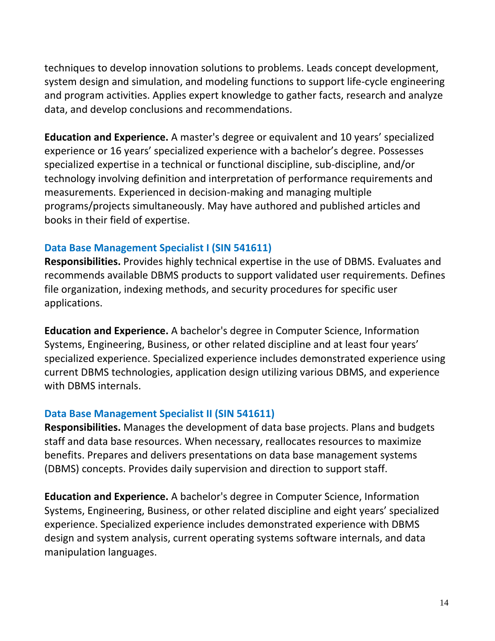techniques to develop innovation solutions to problems. Leads concept development, system design and simulation, and modeling functions to support life-cycle engineering and program activities. Applies expert knowledge to gather facts, research and analyze data, and develop conclusions and recommendations.

**Education and Experience.** A master's degree or equivalent and 10 years' specialized experience or 16 years' specialized experience with a bachelor's degree. Possesses specialized expertise in a technical or functional discipline, sub-discipline, and/or technology involving definition and interpretation of performance requirements and measurements. Experienced in decision-making and managing multiple programs/projects simultaneously. May have authored and published articles and books in their field of expertise.

### **Data Base Management Specialist I (SIN 541611)**

**Responsibilities.** Provides highly technical expertise in the use of DBMS. Evaluates and recommends available DBMS products to support validated user requirements. Defines file organization, indexing methods, and security procedures for specific user applications.

**Education and Experience.** A bachelor's degree in Computer Science, Information Systems, Engineering, Business, or other related discipline and at least four years' specialized experience. Specialized experience includes demonstrated experience using current DBMS technologies, application design utilizing various DBMS, and experience with DBMS internals.

### **Data Base Management Specialist II (SIN 541611)**

**Responsibilities.** Manages the development of data base projects. Plans and budgets staff and data base resources. When necessary, reallocates resources to maximize benefits. Prepares and delivers presentations on data base management systems (DBMS) concepts. Provides daily supervision and direction to support staff.

**Education and Experience.** A bachelor's degree in Computer Science, Information Systems, Engineering, Business, or other related discipline and eight years' specialized experience. Specialized experience includes demonstrated experience with DBMS design and system analysis, current operating systems software internals, and data manipulation languages.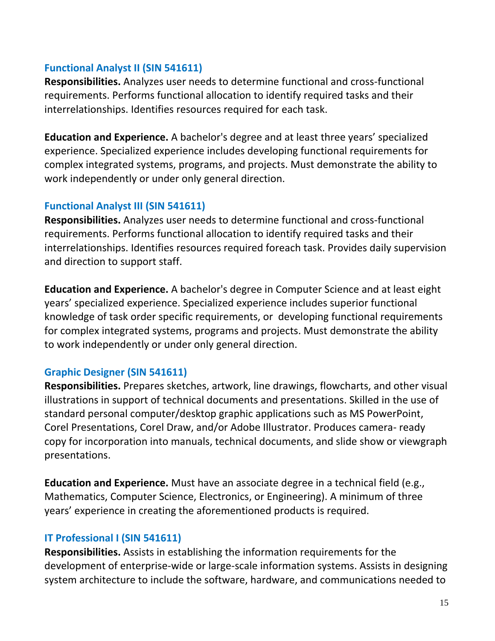### **Functional Analyst II (SIN 541611)**

**Responsibilities.** Analyzes user needs to determine functional and cross-functional requirements. Performs functional allocation to identify required tasks and their interrelationships. Identifies resources required for each task.

**Education and Experience.** A bachelor's degree and at least three years' specialized experience. Specialized experience includes developing functional requirements for complex integrated systems, programs, and projects. Must demonstrate the ability to work independently or under only general direction.

### **Functional Analyst III (SIN 541611)**

**Responsibilities.** Analyzes user needs to determine functional and cross-functional requirements. Performs functional allocation to identify required tasks and their interrelationships. Identifies resources required foreach task. Provides daily supervision and direction to support staff.

**Education and Experience.** A bachelor's degree in Computer Science and at least eight years' specialized experience. Specialized experience includes superior functional knowledge of task order specific requirements, or developing functional requirements for complex integrated systems, programs and projects. Must demonstrate the ability to work independently or under only general direction.

### **Graphic Designer (SIN 541611)**

**Responsibilities.** Prepares sketches, artwork, line drawings, flowcharts, and other visual illustrations in support of technical documents and presentations. Skilled in the use of standard personal computer/desktop graphic applications such as MS PowerPoint, Corel Presentations, Corel Draw, and/or Adobe Illustrator. Produces camera- ready copy for incorporation into manuals, technical documents, and slide show or viewgraph presentations.

**Education and Experience.** Must have an associate degree in a technical field (e.g., Mathematics, Computer Science, Electronics, or Engineering). A minimum of three years' experience in creating the aforementioned products is required.

### **IT Professional I (SIN 541611)**

**Responsibilities.** Assists in establishing the information requirements for the development of enterprise-wide or large-scale information systems. Assists in designing system architecture to include the software, hardware, and communications needed to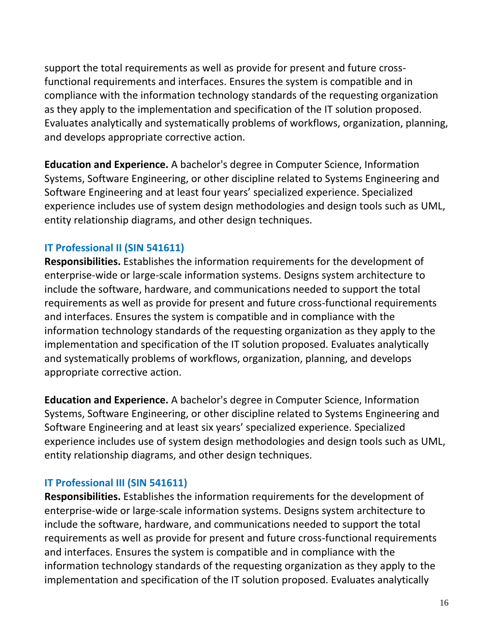support the total requirements as well as provide for present and future crossfunctional requirements and interfaces. Ensures the system is compatible and in compliance with the information technology standards of the requesting organization as they apply to the implementation and specification of the IT solution proposed. Evaluates analytically and systematically problems of workflows, organization, planning, and develops appropriate corrective action.

**Education and Experience.** A bachelor's degree in Computer Science, Information Systems, Software Engineering, or other discipline related to Systems Engineering and Software Engineering and at least four years' specialized experience. Specialized experience includes use of system design methodologies and design tools such as UML, entity relationship diagrams, and other design techniques.

### **IT Professional II (SIN 541611)**

**Responsibilities.** Establishes the information requirements for the development of enterprise-wide or large-scale information systems. Designs system architecture to include the software, hardware, and communications needed to support the total requirements as well as provide for present and future cross-functional requirements and interfaces. Ensures the system is compatible and in compliance with the information technology standards of the requesting organization as they apply to the implementation and specification of the IT solution proposed. Evaluates analytically and systematically problems of workflows, organization, planning, and develops appropriate corrective action.

**Education and Experience.** A bachelor's degree in Computer Science, Information Systems, Software Engineering, or other discipline related to Systems Engineering and Software Engineering and at least six years' specialized experience. Specialized experience includes use of system design methodologies and design tools such as UML, entity relationship diagrams, and other design techniques.

### **IT Professional III (SIN 541611)**

**Responsibilities.** Establishes the information requirements for the development of enterprise-wide or large-scale information systems. Designs system architecture to include the software, hardware, and communications needed to support the total requirements as well as provide for present and future cross-functional requirements and interfaces. Ensures the system is compatible and in compliance with the information technology standards of the requesting organization as they apply to the implementation and specification of the IT solution proposed. Evaluates analytically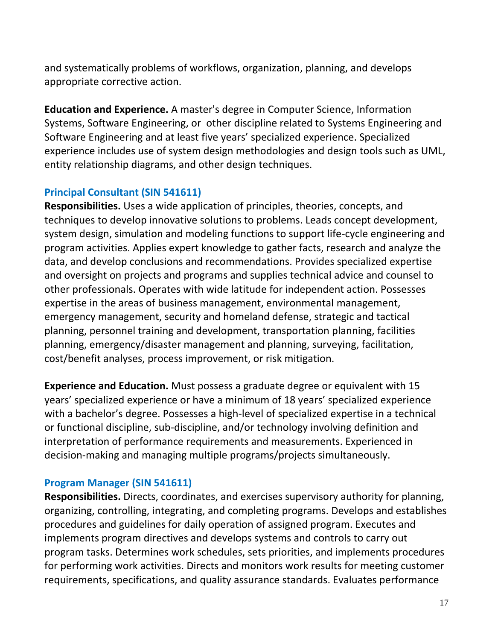and systematically problems of workflows, organization, planning, and develops appropriate corrective action.

**Education and Experience.** A master's degree in Computer Science, Information Systems, Software Engineering, or other discipline related to Systems Engineering and Software Engineering and at least five years' specialized experience. Specialized experience includes use of system design methodologies and design tools such as UML, entity relationship diagrams, and other design techniques.

### **Principal Consultant (SIN 541611)**

**Responsibilities.** Uses a wide application of principles, theories, concepts, and techniques to develop innovative solutions to problems. Leads concept development, system design, simulation and modeling functions to support life-cycle engineering and program activities. Applies expert knowledge to gather facts, research and analyze the data, and develop conclusions and recommendations. Provides specialized expertise and oversight on projects and programs and supplies technical advice and counsel to other professionals. Operates with wide latitude for independent action. Possesses expertise in the areas of business management, environmental management, emergency management, security and homeland defense, strategic and tactical planning, personnel training and development, transportation planning, facilities planning, emergency/disaster management and planning, surveying, facilitation, cost/benefit analyses, process improvement, or risk mitigation.

**Experience and Education.** Must possess a graduate degree or equivalent with 15 years' specialized experience or have a minimum of 18 years' specialized experience with a bachelor's degree. Possesses a high-level of specialized expertise in a technical or functional discipline, sub-discipline, and/or technology involving definition and interpretation of performance requirements and measurements. Experienced in decision-making and managing multiple programs/projects simultaneously.

### **Program Manager (SIN 541611)**

**Responsibilities.** Directs, coordinates, and exercises supervisory authority for planning, organizing, controlling, integrating, and completing programs. Develops and establishes procedures and guidelines for daily operation of assigned program. Executes and implements program directives and develops systems and controls to carry out program tasks. Determines work schedules, sets priorities, and implements procedures for performing work activities. Directs and monitors work results for meeting customer requirements, specifications, and quality assurance standards. Evaluates performance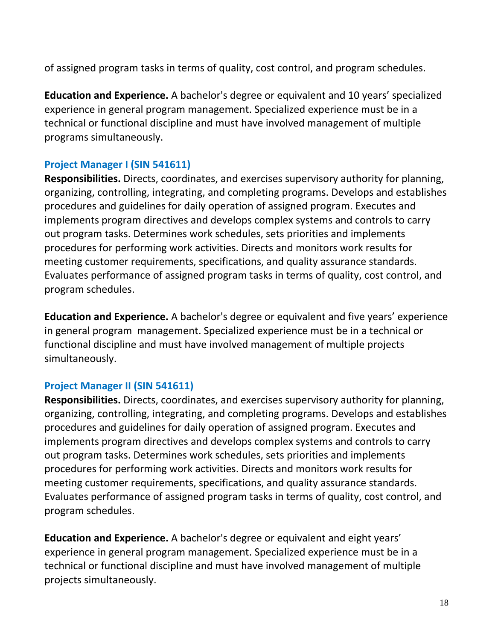of assigned program tasks in terms of quality, cost control, and program schedules.

**Education and Experience.** A bachelor's degree or equivalent and 10 years' specialized experience in general program management. Specialized experience must be in a technical or functional discipline and must have involved management of multiple programs simultaneously.

### **Project Manager I (SIN 541611)**

**Responsibilities.** Directs, coordinates, and exercises supervisory authority for planning, organizing, controlling, integrating, and completing programs. Develops and establishes procedures and guidelines for daily operation of assigned program. Executes and implements program directives and develops complex systems and controls to carry out program tasks. Determines work schedules, sets priorities and implements procedures for performing work activities. Directs and monitors work results for meeting customer requirements, specifications, and quality assurance standards. Evaluates performance of assigned program tasks in terms of quality, cost control, and program schedules.

**Education and Experience.** A bachelor's degree or equivalent and five years' experience in general program management. Specialized experience must be in a technical or functional discipline and must have involved management of multiple projects simultaneously.

### **Project Manager II (SIN 541611)**

**Responsibilities.** Directs, coordinates, and exercises supervisory authority for planning, organizing, controlling, integrating, and completing programs. Develops and establishes procedures and guidelines for daily operation of assigned program. Executes and implements program directives and develops complex systems and controls to carry out program tasks. Determines work schedules, sets priorities and implements procedures for performing work activities. Directs and monitors work results for meeting customer requirements, specifications, and quality assurance standards. Evaluates performance of assigned program tasks in terms of quality, cost control, and program schedules.

**Education and Experience.** A bachelor's degree or equivalent and eight years' experience in general program management. Specialized experience must be in a technical or functional discipline and must have involved management of multiple projects simultaneously.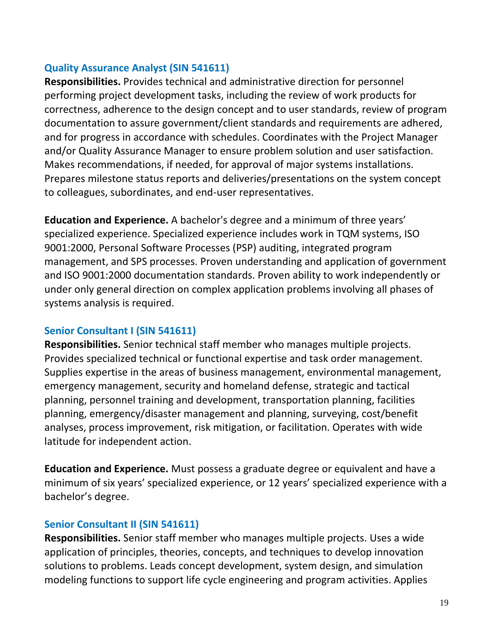### **Quality Assurance Analyst (SIN 541611)**

**Responsibilities.** Provides technical and administrative direction for personnel performing project development tasks, including the review of work products for correctness, adherence to the design concept and to user standards, review of program documentation to assure government/client standards and requirements are adhered, and for progress in accordance with schedules. Coordinates with the Project Manager and/or Quality Assurance Manager to ensure problem solution and user satisfaction. Makes recommendations, if needed, for approval of major systems installations. Prepares milestone status reports and deliveries/presentations on the system concept to colleagues, subordinates, and end-user representatives.

**Education and Experience.** A bachelor's degree and a minimum of three years' specialized experience. Specialized experience includes work in TQM systems, ISO 9001:2000, Personal Software Processes (PSP) auditing, integrated program management, and SPS processes. Proven understanding and application of government and ISO 9001:2000 documentation standards. Proven ability to work independently or under only general direction on complex application problems involving all phases of systems analysis is required.

### **Senior Consultant I (SIN 541611)**

**Responsibilities.** Senior technical staff member who manages multiple projects. Provides specialized technical or functional expertise and task order management. Supplies expertise in the areas of business management, environmental management, emergency management, security and homeland defense, strategic and tactical planning, personnel training and development, transportation planning, facilities planning, emergency/disaster management and planning, surveying, cost/benefit analyses, process improvement, risk mitigation, or facilitation. Operates with wide latitude for independent action.

**Education and Experience.** Must possess a graduate degree or equivalent and have a minimum of six years' specialized experience, or 12 years' specialized experience with a bachelor's degree.

### **Senior Consultant II (SIN 541611)**

**Responsibilities.** Senior staff member who manages multiple projects. Uses a wide application of principles, theories, concepts, and techniques to develop innovation solutions to problems. Leads concept development, system design, and simulation modeling functions to support life cycle engineering and program activities. Applies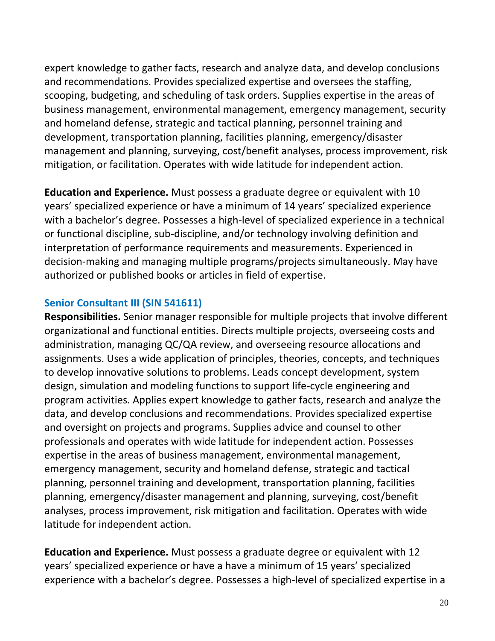expert knowledge to gather facts, research and analyze data, and develop conclusions and recommendations. Provides specialized expertise and oversees the staffing, scooping, budgeting, and scheduling of task orders. Supplies expertise in the areas of business management, environmental management, emergency management, security and homeland defense, strategic and tactical planning, personnel training and development, transportation planning, facilities planning, emergency/disaster management and planning, surveying, cost/benefit analyses, process improvement, risk mitigation, or facilitation. Operates with wide latitude for independent action.

**Education and Experience.** Must possess a graduate degree or equivalent with 10 years' specialized experience or have a minimum of 14 years' specialized experience with a bachelor's degree. Possesses a high-level of specialized experience in a technical or functional discipline, sub-discipline, and/or technology involving definition and interpretation of performance requirements and measurements. Experienced in decision-making and managing multiple programs/projects simultaneously. May have authorized or published books or articles in field of expertise.

### **Senior Consultant III (SIN 541611)**

**Responsibilities.** Senior manager responsible for multiple projects that involve different organizational and functional entities. Directs multiple projects, overseeing costs and administration, managing QC/QA review, and overseeing resource allocations and assignments. Uses a wide application of principles, theories, concepts, and techniques to develop innovative solutions to problems. Leads concept development, system design, simulation and modeling functions to support life-cycle engineering and program activities. Applies expert knowledge to gather facts, research and analyze the data, and develop conclusions and recommendations. Provides specialized expertise and oversight on projects and programs. Supplies advice and counsel to other professionals and operates with wide latitude for independent action. Possesses expertise in the areas of business management, environmental management, emergency management, security and homeland defense, strategic and tactical planning, personnel training and development, transportation planning, facilities planning, emergency/disaster management and planning, surveying, cost/benefit analyses, process improvement, risk mitigation and facilitation. Operates with wide latitude for independent action.

**Education and Experience.** Must possess a graduate degree or equivalent with 12 years' specialized experience or have a have a minimum of 15 years' specialized experience with a bachelor's degree. Possesses a high-level of specialized expertise in a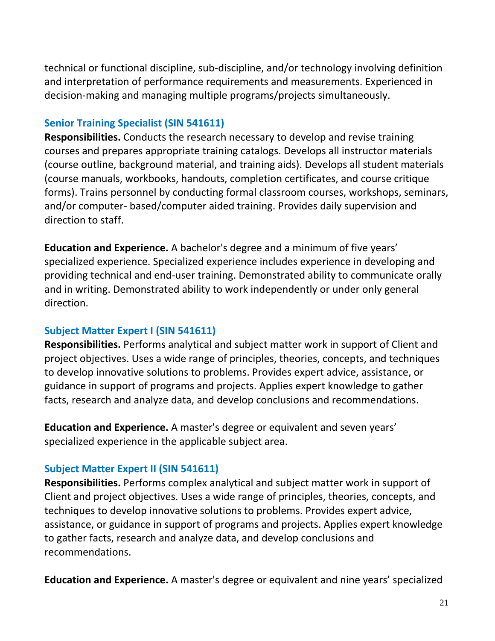technical or functional discipline, sub-discipline, and/or technology involving definition and interpretation of performance requirements and measurements. Experienced in decision-making and managing multiple programs/projects simultaneously.

### **Senior Training Specialist (SIN 541611)**

**Responsibilities.** Conducts the research necessary to develop and revise training courses and prepares appropriate training catalogs. Develops all instructor materials (course outline, background material, and training aids). Develops all student materials (course manuals, workbooks, handouts, completion certificates, and course critique forms). Trains personnel by conducting formal classroom courses, workshops, seminars, and/or computer- based/computer aided training. Provides daily supervision and direction to staff.

**Education and Experience.** A bachelor's degree and a minimum of five years' specialized experience. Specialized experience includes experience in developing and providing technical and end-user training. Demonstrated ability to communicate orally and in writing. Demonstrated ability to work independently or under only general direction.

### **Subject Matter Expert I (SIN 541611)**

**Responsibilities.** Performs analytical and subject matter work in support of Client and project objectives. Uses a wide range of principles, theories, concepts, and techniques to develop innovative solutions to problems. Provides expert advice, assistance, or guidance in support of programs and projects. Applies expert knowledge to gather facts, research and analyze data, and develop conclusions and recommendations.

**Education and Experience.** A master's degree or equivalent and seven years' specialized experience in the applicable subject area.

### **Subject Matter Expert II (SIN 541611)**

**Responsibilities.** Performs complex analytical and subject matter work in support of Client and project objectives. Uses a wide range of principles, theories, concepts, and techniques to develop innovative solutions to problems. Provides expert advice, assistance, or guidance in support of programs and projects. Applies expert knowledge to gather facts, research and analyze data, and develop conclusions and recommendations.

**Education and Experience.** A master's degree or equivalent and nine years' specialized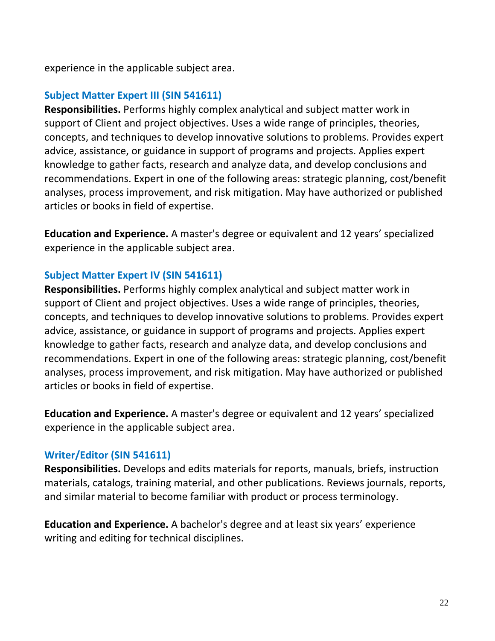experience in the applicable subject area.

### **Subject Matter Expert III (SIN 541611)**

**Responsibilities.** Performs highly complex analytical and subject matter work in support of Client and project objectives. Uses a wide range of principles, theories, concepts, and techniques to develop innovative solutions to problems. Provides expert advice, assistance, or guidance in support of programs and projects. Applies expert knowledge to gather facts, research and analyze data, and develop conclusions and recommendations. Expert in one of the following areas: strategic planning, cost/benefit analyses, process improvement, and risk mitigation. May have authorized or published articles or books in field of expertise.

**Education and Experience.** A master's degree or equivalent and 12 years' specialized experience in the applicable subject area.

### **Subject Matter Expert IV (SIN 541611)**

**Responsibilities.** Performs highly complex analytical and subject matter work in support of Client and project objectives. Uses a wide range of principles, theories, concepts, and techniques to develop innovative solutions to problems. Provides expert advice, assistance, or guidance in support of programs and projects. Applies expert knowledge to gather facts, research and analyze data, and develop conclusions and recommendations. Expert in one of the following areas: strategic planning, cost/benefit analyses, process improvement, and risk mitigation. May have authorized or published articles or books in field of expertise.

**Education and Experience.** A master's degree or equivalent and 12 years' specialized experience in the applicable subject area.

### **Writer/Editor (SIN 541611)**

**Responsibilities.** Develops and edits materials for reports, manuals, briefs, instruction materials, catalogs, training material, and other publications. Reviews journals, reports, and similar material to become familiar with product or process terminology.

**Education and Experience.** A bachelor's degree and at least six years' experience writing and editing for technical disciplines.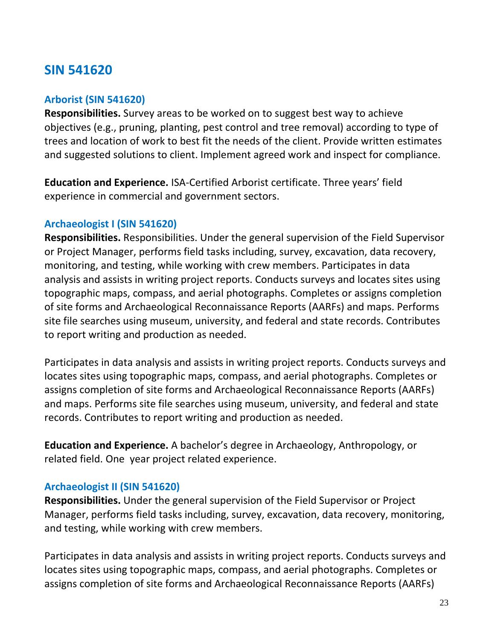# **SIN 541620**

### **Arborist (SIN 541620)**

**Responsibilities.** Survey areas to be worked on to suggest best way to achieve objectives (e.g., pruning, planting, pest control and tree removal) according to type of trees and location of work to best fit the needs of the client. Provide written estimates and suggested solutions to client. Implement agreed work and inspect for compliance.

**Education and Experience.** ISA-Certified Arborist certificate. Three years' field experience in commercial and government sectors.

### **Archaeologist I (SIN 541620)**

**Responsibilities.** Responsibilities. Under the general supervision of the Field Supervisor or Project Manager, performs field tasks including, survey, excavation, data recovery, monitoring, and testing, while working with crew members. Participates in data analysis and assists in writing project reports. Conducts surveys and locates sites using topographic maps, compass, and aerial photographs. Completes or assigns completion of site forms and Archaeological Reconnaissance Reports (AARFs) and maps. Performs site file searches using museum, university, and federal and state records. Contributes to report writing and production as needed.

Participates in data analysis and assists in writing project reports. Conducts surveys and locates sites using topographic maps, compass, and aerial photographs. Completes or assigns completion of site forms and Archaeological Reconnaissance Reports (AARFs) and maps. Performs site file searches using museum, university, and federal and state records. Contributes to report writing and production as needed.

**Education and Experience.** A bachelor's degree in Archaeology, Anthropology, or related field. One year project related experience.

### **Archaeologist II (SIN 541620)**

**Responsibilities.** Under the general supervision of the Field Supervisor or Project Manager, performs field tasks including, survey, excavation, data recovery, monitoring, and testing, while working with crew members.

Participates in data analysis and assists in writing project reports. Conducts surveys and locates sites using topographic maps, compass, and aerial photographs. Completes or assigns completion of site forms and Archaeological Reconnaissance Reports (AARFs)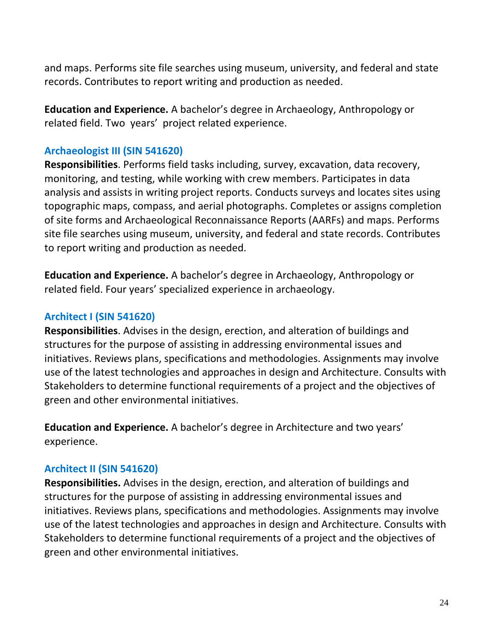and maps. Performs site file searches using museum, university, and federal and state records. Contributes to report writing and production as needed.

**Education and Experience.** A bachelor's degree in Archaeology, Anthropology or related field. Two years' project related experience.

### **Archaeologist III (SIN 541620)**

**Responsibilities**. Performs field tasks including, survey, excavation, data recovery, monitoring, and testing, while working with crew members. Participates in data analysis and assists in writing project reports. Conducts surveys and locates sites using topographic maps, compass, and aerial photographs. Completes or assigns completion of site forms and Archaeological Reconnaissance Reports (AARFs) and maps. Performs site file searches using museum, university, and federal and state records. Contributes to report writing and production as needed.

**Education and Experience.** A bachelor's degree in Archaeology, Anthropology or related field. Four years' specialized experience in archaeology.

#### **Architect I (SIN 541620)**

**Responsibilities**. Advises in the design, erection, and alteration of buildings and structures for the purpose of assisting in addressing environmental issues and initiatives. Reviews plans, specifications and methodologies. Assignments may involve use of the latest technologies and approaches in design and Architecture. Consults with Stakeholders to determine functional requirements of a project and the objectives of green and other environmental initiatives.

**Education and Experience.** A bachelor's degree in Architecture and two years' experience.

#### **Architect II (SIN 541620)**

**Responsibilities.** Advises in the design, erection, and alteration of buildings and structures for the purpose of assisting in addressing environmental issues and initiatives. Reviews plans, specifications and methodologies. Assignments may involve use of the latest technologies and approaches in design and Architecture. Consults with Stakeholders to determine functional requirements of a project and the objectives of green and other environmental initiatives.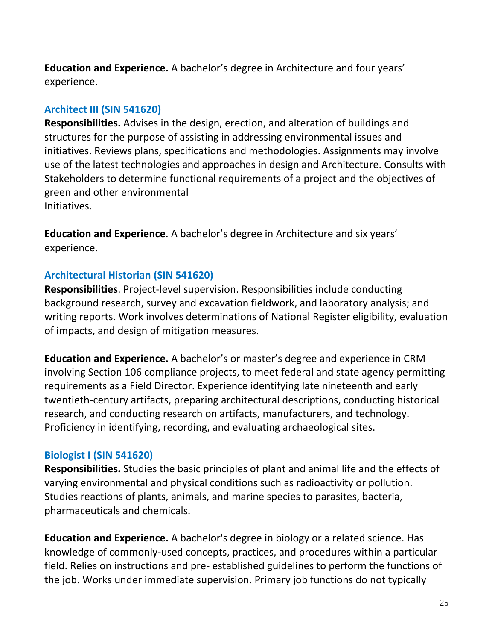**Education and Experience.** A bachelor's degree in Architecture and four years' experience.

### **Architect III (SIN 541620)**

**Responsibilities.** Advises in the design, erection, and alteration of buildings and structures for the purpose of assisting in addressing environmental issues and initiatives. Reviews plans, specifications and methodologies. Assignments may involve use of the latest technologies and approaches in design and Architecture. Consults with Stakeholders to determine functional requirements of a project and the objectives of green and other environmental Initiatives.

**Education and Experience**. A bachelor's degree in Architecture and six years' experience.

### **Architectural Historian (SIN 541620)**

**Responsibilities**. Project-level supervision. Responsibilities include conducting background research, survey and excavation fieldwork, and laboratory analysis; and writing reports. Work involves determinations of National Register eligibility, evaluation of impacts, and design of mitigation measures.

**Education and Experience.** A bachelor's or master's degree and experience in CRM involving Section 106 compliance projects, to meet federal and state agency permitting requirements as a Field Director. Experience identifying late nineteenth and early twentieth-century artifacts, preparing architectural descriptions, conducting historical research, and conducting research on artifacts, manufacturers, and technology. Proficiency in identifying, recording, and evaluating archaeological sites.

### **Biologist I (SIN 541620)**

**Responsibilities.** Studies the basic principles of plant and animal life and the effects of varying environmental and physical conditions such as radioactivity or pollution. Studies reactions of plants, animals, and marine species to parasites, bacteria, pharmaceuticals and chemicals.

**Education and Experience.** A bachelor's degree in biology or a related science. Has knowledge of commonly-used concepts, practices, and procedures within a particular field. Relies on instructions and pre- established guidelines to perform the functions of the job. Works under immediate supervision. Primary job functions do not typically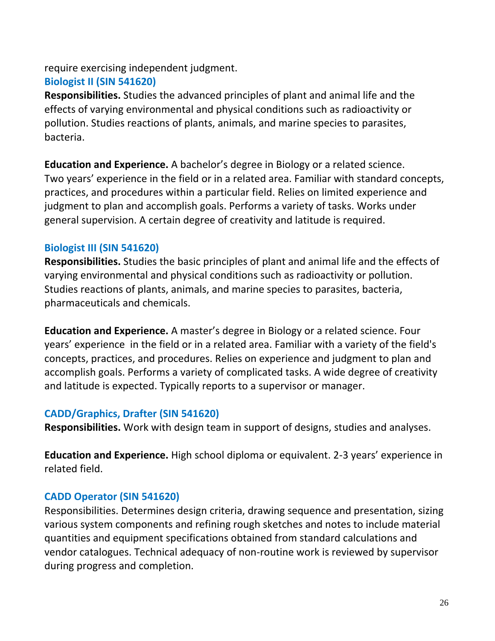require exercising independent judgment.

### **Biologist II (SIN 541620)**

**Responsibilities.** Studies the advanced principles of plant and animal life and the effects of varying environmental and physical conditions such as radioactivity or pollution. Studies reactions of plants, animals, and marine species to parasites, bacteria.

**Education and Experience.** A bachelor's degree in Biology or a related science. Two years' experience in the field or in a related area. Familiar with standard concepts, practices, and procedures within a particular field. Relies on limited experience and judgment to plan and accomplish goals. Performs a variety of tasks. Works under general supervision. A certain degree of creativity and latitude is required.

### **Biologist III (SIN 541620)**

**Responsibilities.** Studies the basic principles of plant and animal life and the effects of varying environmental and physical conditions such as radioactivity or pollution. Studies reactions of plants, animals, and marine species to parasites, bacteria, pharmaceuticals and chemicals.

**Education and Experience.** A master's degree in Biology or a related science. Four years' experience in the field or in a related area. Familiar with a variety of the field's concepts, practices, and procedures. Relies on experience and judgment to plan and accomplish goals. Performs a variety of complicated tasks. A wide degree of creativity and latitude is expected. Typically reports to a supervisor or manager.

### **CADD/Graphics, Drafter (SIN 541620)**

**Responsibilities.** Work with design team in support of designs, studies and analyses.

**Education and Experience.** High school diploma or equivalent. 2-3 years' experience in related field.

## **CADD Operator (SIN 541620)**

Responsibilities. Determines design criteria, drawing sequence and presentation, sizing various system components and refining rough sketches and notes to include material quantities and equipment specifications obtained from standard calculations and vendor catalogues. Technical adequacy of non-routine work is reviewed by supervisor during progress and completion.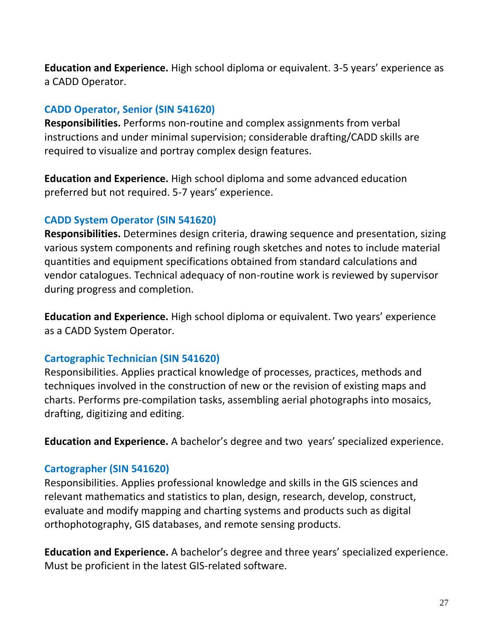**Education and Experience.** High school diploma or equivalent. 3-5 years' experience as a CADD Operator.

### **CADD Operator, Senior (SIN 541620)**

**Responsibilities.** Performs non-routine and complex assignments from verbal instructions and under minimal supervision; considerable drafting/CADD skills are required to visualize and portray complex design features.

**Education and Experience.** High school diploma and some advanced education preferred but not required. 5-7 years' experience.

### **CADD System Operator (SIN 541620)**

**Responsibilities.** Determines design criteria, drawing sequence and presentation, sizing various system components and refining rough sketches and notes to include material quantities and equipment specifications obtained from standard calculations and vendor catalogues. Technical adequacy of non-routine work is reviewed by supervisor during progress and completion.

**Education and Experience.** High school diploma or equivalent. Two years' experience as a CADD System Operator.

### **Cartographic Technician (SIN 541620)**

Responsibilities. Applies practical knowledge of processes, practices, methods and techniques involved in the construction of new or the revision of existing maps and charts. Performs pre-compilation tasks, assembling aerial photographs into mosaics, drafting, digitizing and editing.

**Education and Experience.** A bachelor's degree and two years' specialized experience.

### **Cartographer (SIN 541620)**

Responsibilities. Applies professional knowledge and skills in the GIS sciences and relevant mathematics and statistics to plan, design, research, develop, construct, evaluate and modify mapping and charting systems and products such as digital orthophotography, GIS databases, and remote sensing products.

**Education and Experience.** A bachelor's degree and three years' specialized experience. Must be proficient in the latest GIS-related software.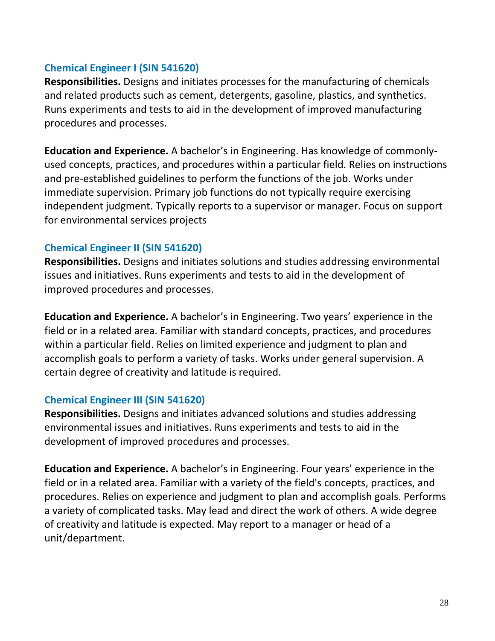### **Chemical Engineer I (SIN 541620)**

**Responsibilities.** Designs and initiates processes for the manufacturing of chemicals and related products such as cement, detergents, gasoline, plastics, and synthetics. Runs experiments and tests to aid in the development of improved manufacturing procedures and processes.

**Education and Experience.** A bachelor's in Engineering. Has knowledge of commonlyused concepts, practices, and procedures within a particular field. Relies on instructions and pre-established guidelines to perform the functions of the job. Works under immediate supervision. Primary job functions do not typically require exercising independent judgment. Typically reports to a supervisor or manager. Focus on support for environmental services projects

### **Chemical Engineer II (SIN 541620)**

**Responsibilities.** Designs and initiates solutions and studies addressing environmental issues and initiatives. Runs experiments and tests to aid in the development of improved procedures and processes.

**Education and Experience.** A bachelor's in Engineering. Two years' experience in the field or in a related area. Familiar with standard concepts, practices, and procedures within a particular field. Relies on limited experience and judgment to plan and accomplish goals to perform a variety of tasks. Works under general supervision. A certain degree of creativity and latitude is required.

### **Chemical Engineer III (SIN 541620)**

**Responsibilities.** Designs and initiates advanced solutions and studies addressing environmental issues and initiatives. Runs experiments and tests to aid in the development of improved procedures and processes.

**Education and Experience.** A bachelor's in Engineering. Four years' experience in the field or in a related area. Familiar with a variety of the field's concepts, practices, and procedures. Relies on experience and judgment to plan and accomplish goals. Performs a variety of complicated tasks. May lead and direct the work of others. A wide degree of creativity and latitude is expected. May report to a manager or head of a unit/department.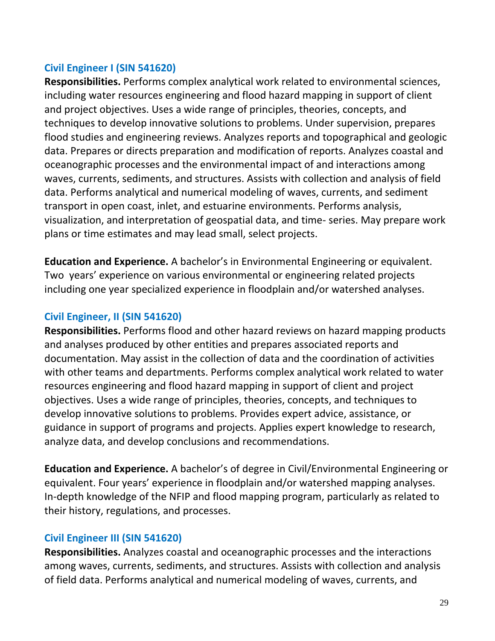### **Civil Engineer I (SIN 541620)**

**Responsibilities.** Performs complex analytical work related to environmental sciences, including water resources engineering and flood hazard mapping in support of client and project objectives. Uses a wide range of principles, theories, concepts, and techniques to develop innovative solutions to problems. Under supervision, prepares flood studies and engineering reviews. Analyzes reports and topographical and geologic data. Prepares or directs preparation and modification of reports. Analyzes coastal and oceanographic processes and the environmental impact of and interactions among waves, currents, sediments, and structures. Assists with collection and analysis of field data. Performs analytical and numerical modeling of waves, currents, and sediment transport in open coast, inlet, and estuarine environments. Performs analysis, visualization, and interpretation of geospatial data, and time- series. May prepare work plans or time estimates and may lead small, select projects.

**Education and Experience.** A bachelor's in Environmental Engineering or equivalent. Two years' experience on various environmental or engineering related projects including one year specialized experience in floodplain and/or watershed analyses.

### **Civil Engineer, II (SIN 541620)**

**Responsibilities.** Performs flood and other hazard reviews on hazard mapping products and analyses produced by other entities and prepares associated reports and documentation. May assist in the collection of data and the coordination of activities with other teams and departments. Performs complex analytical work related to water resources engineering and flood hazard mapping in support of client and project objectives. Uses a wide range of principles, theories, concepts, and techniques to develop innovative solutions to problems. Provides expert advice, assistance, or guidance in support of programs and projects. Applies expert knowledge to research, analyze data, and develop conclusions and recommendations.

**Education and Experience.** A bachelor's of degree in Civil/Environmental Engineering or equivalent. Four years' experience in floodplain and/or watershed mapping analyses. In-depth knowledge of the NFIP and flood mapping program, particularly as related to their history, regulations, and processes.

### **Civil Engineer III (SIN 541620)**

**Responsibilities.** Analyzes coastal and oceanographic processes and the interactions among waves, currents, sediments, and structures. Assists with collection and analysis of field data. Performs analytical and numerical modeling of waves, currents, and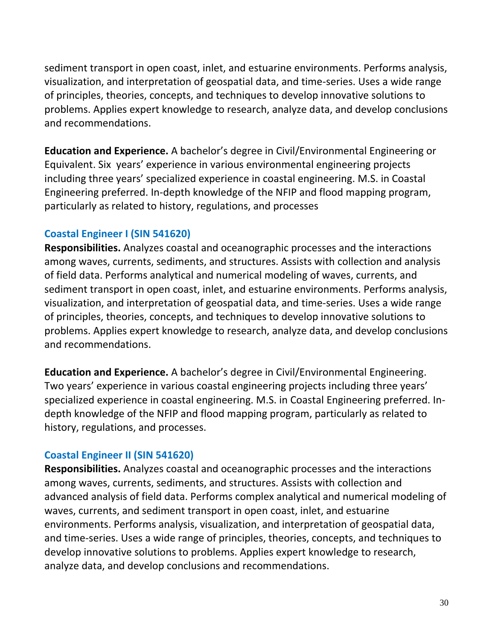sediment transport in open coast, inlet, and estuarine environments. Performs analysis, visualization, and interpretation of geospatial data, and time-series. Uses a wide range of principles, theories, concepts, and techniques to develop innovative solutions to problems. Applies expert knowledge to research, analyze data, and develop conclusions and recommendations.

**Education and Experience.** A bachelor's degree in Civil/Environmental Engineering or Equivalent. Six years' experience in various environmental engineering projects including three years' specialized experience in coastal engineering. M.S. in Coastal Engineering preferred. In-depth knowledge of the NFIP and flood mapping program, particularly as related to history, regulations, and processes

### **Coastal Engineer I (SIN 541620)**

**Responsibilities.** Analyzes coastal and oceanographic processes and the interactions among waves, currents, sediments, and structures. Assists with collection and analysis of field data. Performs analytical and numerical modeling of waves, currents, and sediment transport in open coast, inlet, and estuarine environments. Performs analysis, visualization, and interpretation of geospatial data, and time-series. Uses a wide range of principles, theories, concepts, and techniques to develop innovative solutions to problems. Applies expert knowledge to research, analyze data, and develop conclusions and recommendations.

**Education and Experience.** A bachelor's degree in Civil/Environmental Engineering. Two years' experience in various coastal engineering projects including three years' specialized experience in coastal engineering. M.S. in Coastal Engineering preferred. Indepth knowledge of the NFIP and flood mapping program, particularly as related to history, regulations, and processes.

### **Coastal Engineer II (SIN 541620)**

**Responsibilities.** Analyzes coastal and oceanographic processes and the interactions among waves, currents, sediments, and structures. Assists with collection and advanced analysis of field data. Performs complex analytical and numerical modeling of waves, currents, and sediment transport in open coast, inlet, and estuarine environments. Performs analysis, visualization, and interpretation of geospatial data, and time-series. Uses a wide range of principles, theories, concepts, and techniques to develop innovative solutions to problems. Applies expert knowledge to research, analyze data, and develop conclusions and recommendations.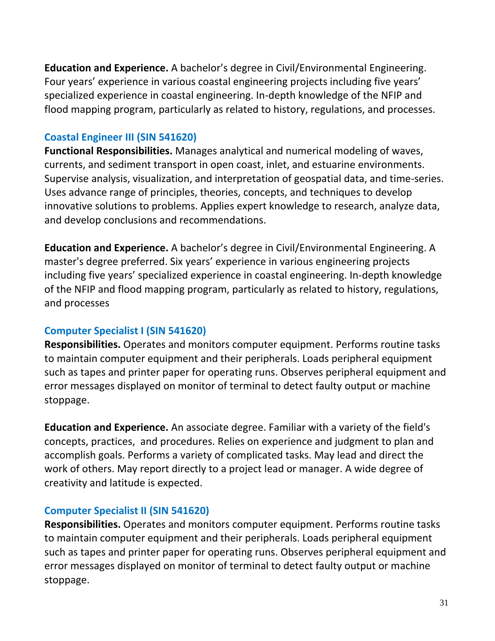**Education and Experience.** A bachelor's degree in Civil/Environmental Engineering. Four years' experience in various coastal engineering projects including five years' specialized experience in coastal engineering. In-depth knowledge of the NFIP and flood mapping program, particularly as related to history, regulations, and processes.

### **Coastal Engineer III (SIN 541620)**

**Functional Responsibilities.** Manages analytical and numerical modeling of waves, currents, and sediment transport in open coast, inlet, and estuarine environments. Supervise analysis, visualization, and interpretation of geospatial data, and time-series. Uses advance range of principles, theories, concepts, and techniques to develop innovative solutions to problems. Applies expert knowledge to research, analyze data, and develop conclusions and recommendations.

**Education and Experience.** A bachelor's degree in Civil/Environmental Engineering. A master's degree preferred. Six years' experience in various engineering projects including five years' specialized experience in coastal engineering. In-depth knowledge of the NFIP and flood mapping program, particularly as related to history, regulations, and processes

### **Computer Specialist I (SIN 541620)**

**Responsibilities.** Operates and monitors computer equipment. Performs routine tasks to maintain computer equipment and their peripherals. Loads peripheral equipment such as tapes and printer paper for operating runs. Observes peripheral equipment and error messages displayed on monitor of terminal to detect faulty output or machine stoppage.

**Education and Experience.** An associate degree. Familiar with a variety of the field's concepts, practices, and procedures. Relies on experience and judgment to plan and accomplish goals. Performs a variety of complicated tasks. May lead and direct the work of others. May report directly to a project lead or manager. A wide degree of creativity and latitude is expected.

### **Computer Specialist II (SIN 541620)**

**Responsibilities.** Operates and monitors computer equipment. Performs routine tasks to maintain computer equipment and their peripherals. Loads peripheral equipment such as tapes and printer paper for operating runs. Observes peripheral equipment and error messages displayed on monitor of terminal to detect faulty output or machine stoppage.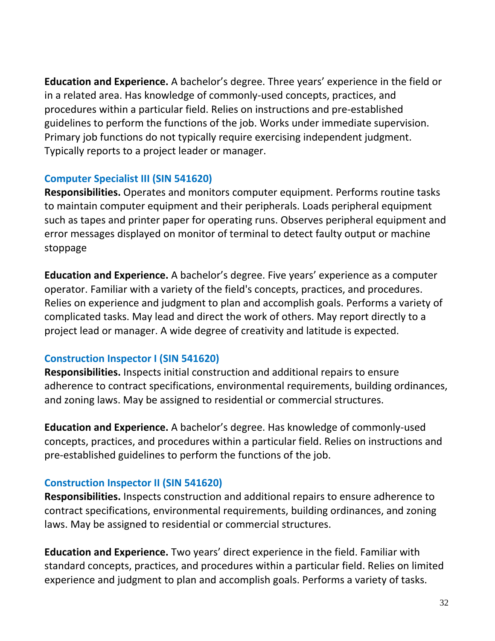**Education and Experience.** A bachelor's degree. Three years' experience in the field or in a related area. Has knowledge of commonly-used concepts, practices, and procedures within a particular field. Relies on instructions and pre-established guidelines to perform the functions of the job. Works under immediate supervision. Primary job functions do not typically require exercising independent judgment. Typically reports to a project leader or manager.

### **Computer Specialist III (SIN 541620)**

**Responsibilities.** Operates and monitors computer equipment. Performs routine tasks to maintain computer equipment and their peripherals. Loads peripheral equipment such as tapes and printer paper for operating runs. Observes peripheral equipment and error messages displayed on monitor of terminal to detect faulty output or machine stoppage

**Education and Experience.** A bachelor's degree. Five years' experience as a computer operator. Familiar with a variety of the field's concepts, practices, and procedures. Relies on experience and judgment to plan and accomplish goals. Performs a variety of complicated tasks. May lead and direct the work of others. May report directly to a project lead or manager. A wide degree of creativity and latitude is expected.

### **Construction Inspector I (SIN 541620)**

**Responsibilities.** Inspects initial construction and additional repairs to ensure adherence to contract specifications, environmental requirements, building ordinances, and zoning laws. May be assigned to residential or commercial structures.

**Education and Experience.** A bachelor's degree. Has knowledge of commonly-used concepts, practices, and procedures within a particular field. Relies on instructions and pre-established guidelines to perform the functions of the job.

## **Construction Inspector II (SIN 541620)**

**Responsibilities.** Inspects construction and additional repairs to ensure adherence to contract specifications, environmental requirements, building ordinances, and zoning laws. May be assigned to residential or commercial structures.

**Education and Experience.** Two years' direct experience in the field. Familiar with standard concepts, practices, and procedures within a particular field. Relies on limited experience and judgment to plan and accomplish goals. Performs a variety of tasks.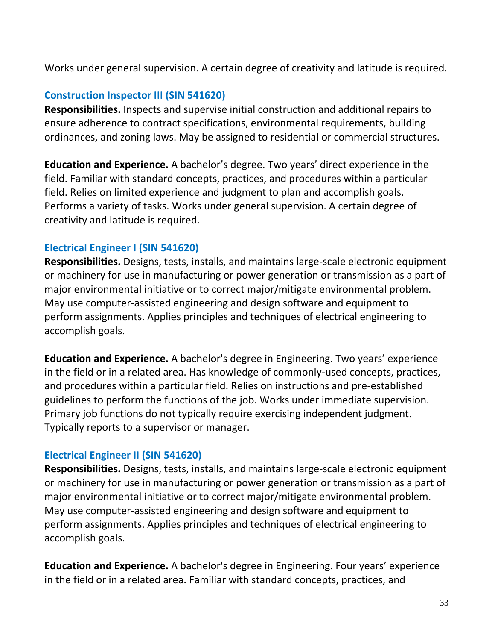Works under general supervision. A certain degree of creativity and latitude is required.

### **Construction Inspector III (SIN 541620)**

**Responsibilities.** Inspects and supervise initial construction and additional repairs to ensure adherence to contract specifications, environmental requirements, building ordinances, and zoning laws. May be assigned to residential or commercial structures.

**Education and Experience.** A bachelor's degree. Two years' direct experience in the field. Familiar with standard concepts, practices, and procedures within a particular field. Relies on limited experience and judgment to plan and accomplish goals. Performs a variety of tasks. Works under general supervision. A certain degree of creativity and latitude is required.

### **Electrical Engineer I (SIN 541620)**

**Responsibilities.** Designs, tests, installs, and maintains large-scale electronic equipment or machinery for use in manufacturing or power generation or transmission as a part of major environmental initiative or to correct major/mitigate environmental problem. May use computer-assisted engineering and design software and equipment to perform assignments. Applies principles and techniques of electrical engineering to accomplish goals.

**Education and Experience.** A bachelor's degree in Engineering. Two years' experience in the field or in a related area. Has knowledge of commonly-used concepts, practices, and procedures within a particular field. Relies on instructions and pre-established guidelines to perform the functions of the job. Works under immediate supervision. Primary job functions do not typically require exercising independent judgment. Typically reports to a supervisor or manager.

### **Electrical Engineer II (SIN 541620)**

**Responsibilities.** Designs, tests, installs, and maintains large-scale electronic equipment or machinery for use in manufacturing or power generation or transmission as a part of major environmental initiative or to correct major/mitigate environmental problem. May use computer-assisted engineering and design software and equipment to perform assignments. Applies principles and techniques of electrical engineering to accomplish goals.

**Education and Experience.** A bachelor's degree in Engineering. Four years' experience in the field or in a related area. Familiar with standard concepts, practices, and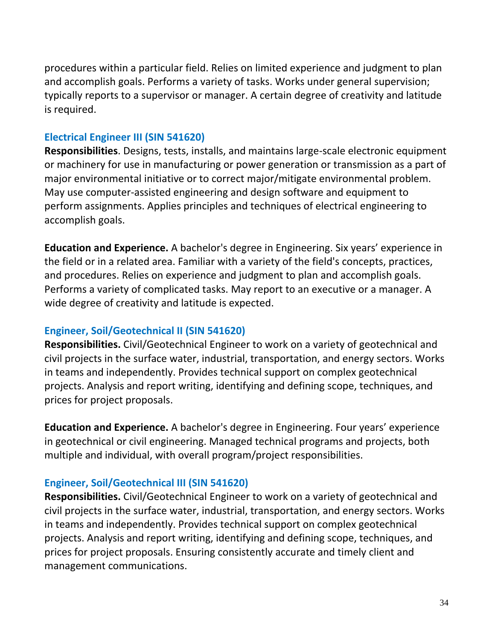procedures within a particular field. Relies on limited experience and judgment to plan and accomplish goals. Performs a variety of tasks. Works under general supervision; typically reports to a supervisor or manager. A certain degree of creativity and latitude is required.

#### **Electrical Engineer III (SIN 541620)**

**Responsibilities**. Designs, tests, installs, and maintains large-scale electronic equipment or machinery for use in manufacturing or power generation or transmission as a part of major environmental initiative or to correct major/mitigate environmental problem. May use computer-assisted engineering and design software and equipment to perform assignments. Applies principles and techniques of electrical engineering to accomplish goals.

**Education and Experience.** A bachelor's degree in Engineering. Six years' experience in the field or in a related area. Familiar with a variety of the field's concepts, practices, and procedures. Relies on experience and judgment to plan and accomplish goals. Performs a variety of complicated tasks. May report to an executive or a manager. A wide degree of creativity and latitude is expected.

### **Engineer, Soil/Geotechnical II (SIN 541620)**

**Responsibilities.** Civil/Geotechnical Engineer to work on a variety of geotechnical and civil projects in the surface water, industrial, transportation, and energy sectors. Works in teams and independently. Provides technical support on complex geotechnical projects. Analysis and report writing, identifying and defining scope, techniques, and prices for project proposals.

**Education and Experience.** A bachelor's degree in Engineering. Four years' experience in geotechnical or civil engineering. Managed technical programs and projects, both multiple and individual, with overall program/project responsibilities.

### **Engineer, Soil/Geotechnical III (SIN 541620)**

**Responsibilities.** Civil/Geotechnical Engineer to work on a variety of geotechnical and civil projects in the surface water, industrial, transportation, and energy sectors. Works in teams and independently. Provides technical support on complex geotechnical projects. Analysis and report writing, identifying and defining scope, techniques, and prices for project proposals. Ensuring consistently accurate and timely client and management communications.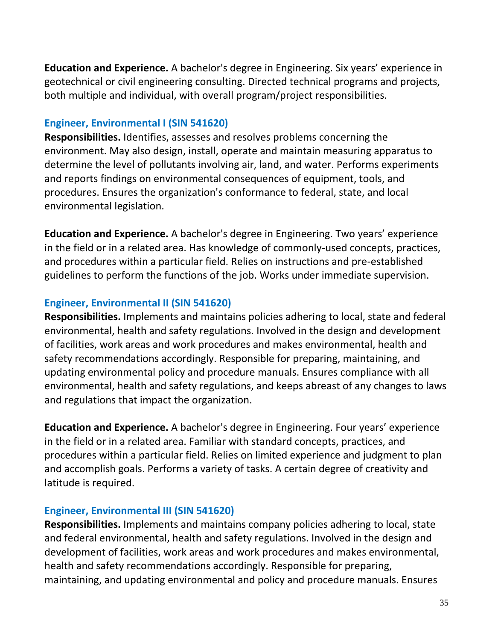**Education and Experience.** A bachelor's degree in Engineering. Six years' experience in geotechnical or civil engineering consulting. Directed technical programs and projects, both multiple and individual, with overall program/project responsibilities.

### **Engineer, Environmental I (SIN 541620)**

**Responsibilities.** Identifies, assesses and resolves problems concerning the environment. May also design, install, operate and maintain measuring apparatus to determine the level of pollutants involving air, land, and water. Performs experiments and reports findings on environmental consequences of equipment, tools, and procedures. Ensures the organization's conformance to federal, state, and local environmental legislation.

**Education and Experience.** A bachelor's degree in Engineering. Two years' experience in the field or in a related area. Has knowledge of commonly-used concepts, practices, and procedures within a particular field. Relies on instructions and pre-established guidelines to perform the functions of the job. Works under immediate supervision.

### **Engineer, Environmental II (SIN 541620)**

**Responsibilities.** Implements and maintains policies adhering to local, state and federal environmental, health and safety regulations. Involved in the design and development of facilities, work areas and work procedures and makes environmental, health and safety recommendations accordingly. Responsible for preparing, maintaining, and updating environmental policy and procedure manuals. Ensures compliance with all environmental, health and safety regulations, and keeps abreast of any changes to laws and regulations that impact the organization.

**Education and Experience.** A bachelor's degree in Engineering. Four years' experience in the field or in a related area. Familiar with standard concepts, practices, and procedures within a particular field. Relies on limited experience and judgment to plan and accomplish goals. Performs a variety of tasks. A certain degree of creativity and latitude is required.

### **Engineer, Environmental III (SIN 541620)**

**Responsibilities.** Implements and maintains company policies adhering to local, state and federal environmental, health and safety regulations. Involved in the design and development of facilities, work areas and work procedures and makes environmental, health and safety recommendations accordingly. Responsible for preparing, maintaining, and updating environmental and policy and procedure manuals. Ensures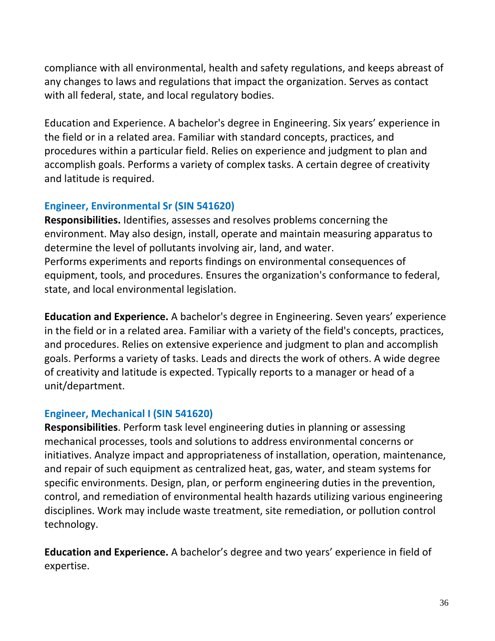compliance with all environmental, health and safety regulations, and keeps abreast of any changes to laws and regulations that impact the organization. Serves as contact with all federal, state, and local regulatory bodies.

Education and Experience. A bachelor's degree in Engineering. Six years' experience in the field or in a related area. Familiar with standard concepts, practices, and procedures within a particular field. Relies on experience and judgment to plan and accomplish goals. Performs a variety of complex tasks. A certain degree of creativity and latitude is required.

### **Engineer, Environmental Sr (SIN 541620)**

**Responsibilities.** Identifies, assesses and resolves problems concerning the environment. May also design, install, operate and maintain measuring apparatus to determine the level of pollutants involving air, land, and water. Performs experiments and reports findings on environmental consequences of equipment, tools, and procedures. Ensures the organization's conformance to federal, state, and local environmental legislation.

**Education and Experience.** A bachelor's degree in Engineering. Seven years' experience in the field or in a related area. Familiar with a variety of the field's concepts, practices, and procedures. Relies on extensive experience and judgment to plan and accomplish goals. Performs a variety of tasks. Leads and directs the work of others. A wide degree of creativity and latitude is expected. Typically reports to a manager or head of a unit/department.

### **Engineer, Mechanical I (SIN 541620)**

**Responsibilities**. Perform task level engineering duties in planning or assessing mechanical processes, tools and solutions to address environmental concerns or initiatives. Analyze impact and appropriateness of installation, operation, maintenance, and repair of such equipment as centralized heat, gas, water, and steam systems for specific environments. Design, plan, or perform engineering duties in the prevention, control, and remediation of environmental health hazards utilizing various engineering disciplines. Work may include waste treatment, site remediation, or pollution control technology.

**Education and Experience.** A bachelor's degree and two years' experience in field of expertise.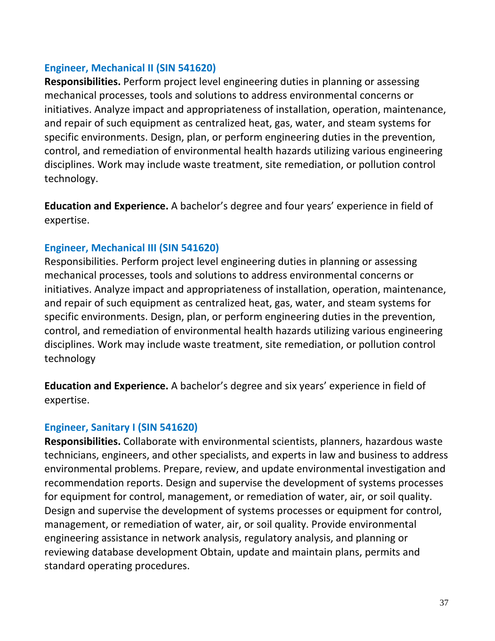### **Engineer, Mechanical II (SIN 541620)**

**Responsibilities.** Perform project level engineering duties in planning or assessing mechanical processes, tools and solutions to address environmental concerns or initiatives. Analyze impact and appropriateness of installation, operation, maintenance, and repair of such equipment as centralized heat, gas, water, and steam systems for specific environments. Design, plan, or perform engineering duties in the prevention, control, and remediation of environmental health hazards utilizing various engineering disciplines. Work may include waste treatment, site remediation, or pollution control technology.

**Education and Experience.** A bachelor's degree and four years' experience in field of expertise.

### **Engineer, Mechanical III (SIN 541620)**

Responsibilities. Perform project level engineering duties in planning or assessing mechanical processes, tools and solutions to address environmental concerns or initiatives. Analyze impact and appropriateness of installation, operation, maintenance, and repair of such equipment as centralized heat, gas, water, and steam systems for specific environments. Design, plan, or perform engineering duties in the prevention, control, and remediation of environmental health hazards utilizing various engineering disciplines. Work may include waste treatment, site remediation, or pollution control technology

**Education and Experience.** A bachelor's degree and six years' experience in field of expertise.

### **Engineer, Sanitary I (SIN 541620)**

**Responsibilities.** Collaborate with environmental scientists, planners, hazardous waste technicians, engineers, and other specialists, and experts in law and business to address environmental problems. Prepare, review, and update environmental investigation and recommendation reports. Design and supervise the development of systems processes for equipment for control, management, or remediation of water, air, or soil quality. Design and supervise the development of systems processes or equipment for control, management, or remediation of water, air, or soil quality. Provide environmental engineering assistance in network analysis, regulatory analysis, and planning or reviewing database development Obtain, update and maintain plans, permits and standard operating procedures.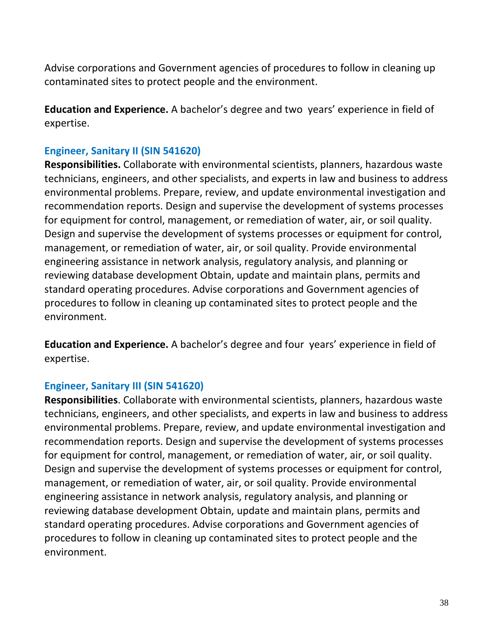Advise corporations and Government agencies of procedures to follow in cleaning up contaminated sites to protect people and the environment.

**Education and Experience.** A bachelor's degree and two years' experience in field of expertise.

### **Engineer, Sanitary II (SIN 541620)**

**Responsibilities.** Collaborate with environmental scientists, planners, hazardous waste technicians, engineers, and other specialists, and experts in law and business to address environmental problems. Prepare, review, and update environmental investigation and recommendation reports. Design and supervise the development of systems processes for equipment for control, management, or remediation of water, air, or soil quality. Design and supervise the development of systems processes or equipment for control, management, or remediation of water, air, or soil quality. Provide environmental engineering assistance in network analysis, regulatory analysis, and planning or reviewing database development Obtain, update and maintain plans, permits and standard operating procedures. Advise corporations and Government agencies of procedures to follow in cleaning up contaminated sites to protect people and the environment.

**Education and Experience.** A bachelor's degree and four years' experience in field of expertise.

#### **Engineer, Sanitary III (SIN 541620)**

**Responsibilities**. Collaborate with environmental scientists, planners, hazardous waste technicians, engineers, and other specialists, and experts in law and business to address environmental problems. Prepare, review, and update environmental investigation and recommendation reports. Design and supervise the development of systems processes for equipment for control, management, or remediation of water, air, or soil quality. Design and supervise the development of systems processes or equipment for control, management, or remediation of water, air, or soil quality. Provide environmental engineering assistance in network analysis, regulatory analysis, and planning or reviewing database development Obtain, update and maintain plans, permits and standard operating procedures. Advise corporations and Government agencies of procedures to follow in cleaning up contaminated sites to protect people and the environment.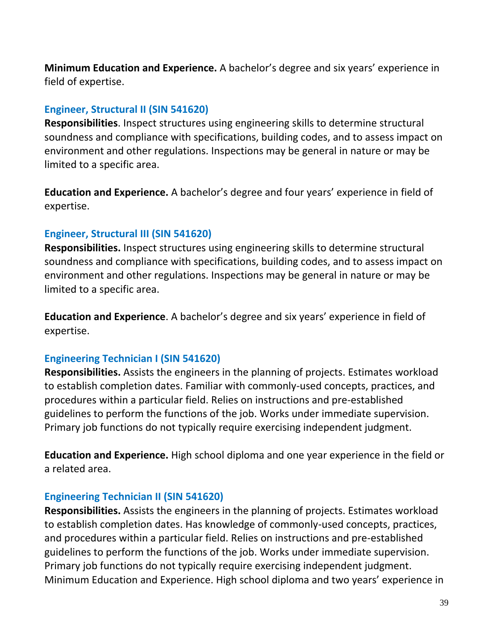**Minimum Education and Experience.** A bachelor's degree and six years' experience in field of expertise.

### **Engineer, Structural II (SIN 541620)**

**Responsibilities**. Inspect structures using engineering skills to determine structural soundness and compliance with specifications, building codes, and to assess impact on environment and other regulations. Inspections may be general in nature or may be limited to a specific area.

**Education and Experience.** A bachelor's degree and four years' experience in field of expertise.

### **Engineer, Structural III (SIN 541620)**

**Responsibilities.** Inspect structures using engineering skills to determine structural soundness and compliance with specifications, building codes, and to assess impact on environment and other regulations. Inspections may be general in nature or may be limited to a specific area.

**Education and Experience**. A bachelor's degree and six years' experience in field of expertise.

### **Engineering Technician I (SIN 541620)**

**Responsibilities.** Assists the engineers in the planning of projects. Estimates workload to establish completion dates. Familiar with commonly-used concepts, practices, and procedures within a particular field. Relies on instructions and pre-established guidelines to perform the functions of the job. Works under immediate supervision. Primary job functions do not typically require exercising independent judgment.

**Education and Experience.** High school diploma and one year experience in the field or a related area.

### **Engineering Technician II (SIN 541620)**

**Responsibilities.** Assists the engineers in the planning of projects. Estimates workload to establish completion dates. Has knowledge of commonly-used concepts, practices, and procedures within a particular field. Relies on instructions and pre-established guidelines to perform the functions of the job. Works under immediate supervision. Primary job functions do not typically require exercising independent judgment. Minimum Education and Experience. High school diploma and two years' experience in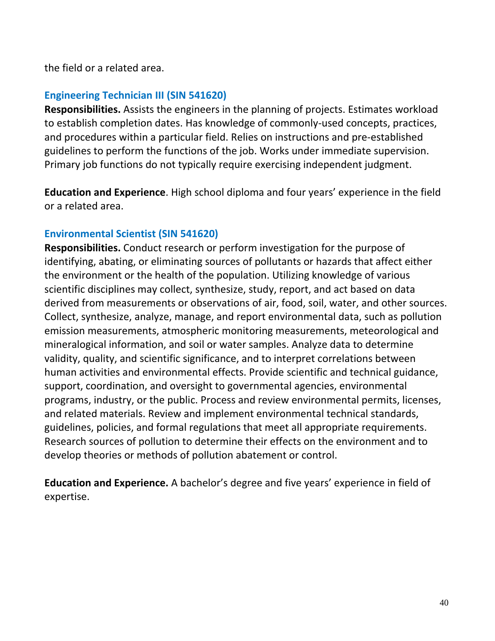the field or a related area.

### **Engineering Technician III (SIN 541620)**

**Responsibilities.** Assists the engineers in the planning of projects. Estimates workload to establish completion dates. Has knowledge of commonly-used concepts, practices, and procedures within a particular field. Relies on instructions and pre-established guidelines to perform the functions of the job. Works under immediate supervision. Primary job functions do not typically require exercising independent judgment.

**Education and Experience**. High school diploma and four years' experience in the field or a related area.

### **Environmental Scientist (SIN 541620)**

**Responsibilities.** Conduct research or perform investigation for the purpose of identifying, abating, or eliminating sources of pollutants or hazards that affect either the environment or the health of the population. Utilizing knowledge of various scientific disciplines may collect, synthesize, study, report, and act based on data derived from measurements or observations of air, food, soil, water, and other sources. Collect, synthesize, analyze, manage, and report environmental data, such as pollution emission measurements, atmospheric monitoring measurements, meteorological and mineralogical information, and soil or water samples. Analyze data to determine validity, quality, and scientific significance, and to interpret correlations between human activities and environmental effects. Provide scientific and technical guidance, support, coordination, and oversight to governmental agencies, environmental programs, industry, or the public. Process and review environmental permits, licenses, and related materials. Review and implement environmental technical standards, guidelines, policies, and formal regulations that meet all appropriate requirements. Research sources of pollution to determine their effects on the environment and to develop theories or methods of pollution abatement or control.

**Education and Experience.** A bachelor's degree and five years' experience in field of expertise.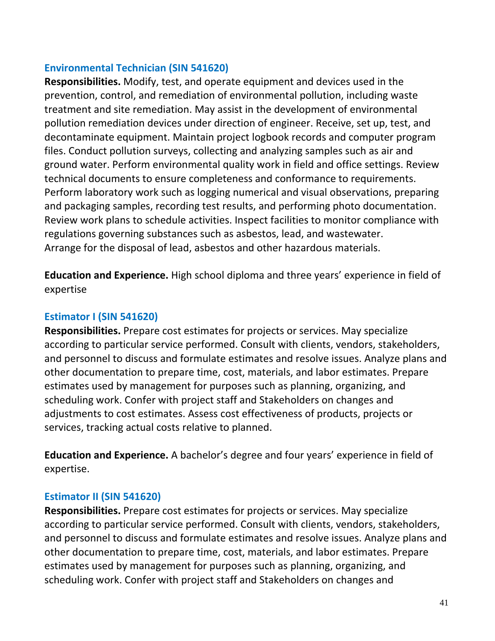### **Environmental Technician (SIN 541620)**

**Responsibilities.** Modify, test, and operate equipment and devices used in the prevention, control, and remediation of environmental pollution, including waste treatment and site remediation. May assist in the development of environmental pollution remediation devices under direction of engineer. Receive, set up, test, and decontaminate equipment. Maintain project logbook records and computer program files. Conduct pollution surveys, collecting and analyzing samples such as air and ground water. Perform environmental quality work in field and office settings. Review technical documents to ensure completeness and conformance to requirements. Perform laboratory work such as logging numerical and visual observations, preparing and packaging samples, recording test results, and performing photo documentation. Review work plans to schedule activities. Inspect facilities to monitor compliance with regulations governing substances such as asbestos, lead, and wastewater. Arrange for the disposal of lead, asbestos and other hazardous materials.

**Education and Experience.** High school diploma and three years' experience in field of expertise

### **Estimator I (SIN 541620)**

**Responsibilities.** Prepare cost estimates for projects or services. May specialize according to particular service performed. Consult with clients, vendors, stakeholders, and personnel to discuss and formulate estimates and resolve issues. Analyze plans and other documentation to prepare time, cost, materials, and labor estimates. Prepare estimates used by management for purposes such as planning, organizing, and scheduling work. Confer with project staff and Stakeholders on changes and adjustments to cost estimates. Assess cost effectiveness of products, projects or services, tracking actual costs relative to planned.

**Education and Experience.** A bachelor's degree and four years' experience in field of expertise.

### **Estimator II (SIN 541620)**

**Responsibilities.** Prepare cost estimates for projects or services. May specialize according to particular service performed. Consult with clients, vendors, stakeholders, and personnel to discuss and formulate estimates and resolve issues. Analyze plans and other documentation to prepare time, cost, materials, and labor estimates. Prepare estimates used by management for purposes such as planning, organizing, and scheduling work. Confer with project staff and Stakeholders on changes and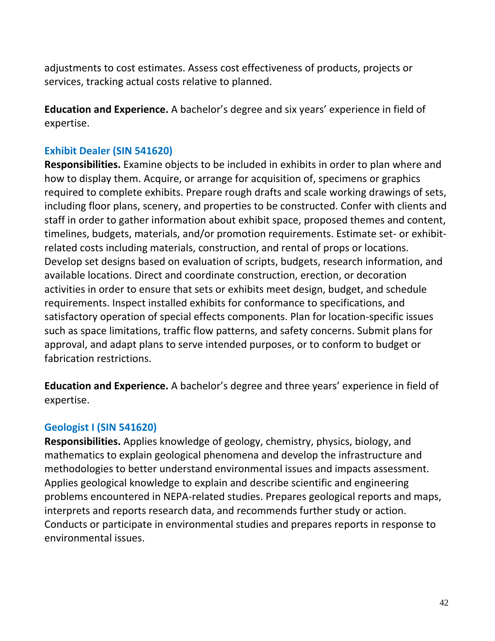adjustments to cost estimates. Assess cost effectiveness of products, projects or services, tracking actual costs relative to planned.

**Education and Experience.** A bachelor's degree and six years' experience in field of expertise.

#### **Exhibit Dealer (SIN 541620)**

**Responsibilities.** Examine objects to be included in exhibits in order to plan where and how to display them. Acquire, or arrange for acquisition of, specimens or graphics required to complete exhibits. Prepare rough drafts and scale working drawings of sets, including floor plans, scenery, and properties to be constructed. Confer with clients and staff in order to gather information about exhibit space, proposed themes and content, timelines, budgets, materials, and/or promotion requirements. Estimate set- or exhibitrelated costs including materials, construction, and rental of props or locations. Develop set designs based on evaluation of scripts, budgets, research information, and available locations. Direct and coordinate construction, erection, or decoration activities in order to ensure that sets or exhibits meet design, budget, and schedule requirements. Inspect installed exhibits for conformance to specifications, and satisfactory operation of special effects components. Plan for location-specific issues such as space limitations, traffic flow patterns, and safety concerns. Submit plans for approval, and adapt plans to serve intended purposes, or to conform to budget or fabrication restrictions.

**Education and Experience.** A bachelor's degree and three years' experience in field of expertise.

#### **Geologist I (SIN 541620)**

**Responsibilities.** Applies knowledge of geology, chemistry, physics, biology, and mathematics to explain geological phenomena and develop the infrastructure and methodologies to better understand environmental issues and impacts assessment. Applies geological knowledge to explain and describe scientific and engineering problems encountered in NEPA-related studies. Prepares geological reports and maps, interprets and reports research data, and recommends further study or action. Conducts or participate in environmental studies and prepares reports in response to environmental issues.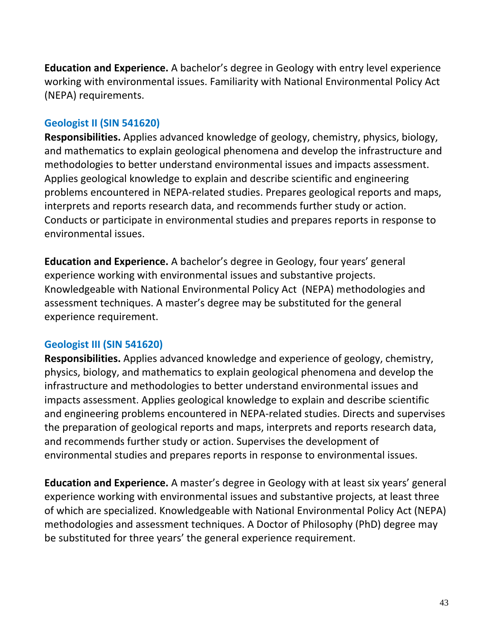**Education and Experience.** A bachelor's degree in Geology with entry level experience working with environmental issues. Familiarity with National Environmental Policy Act (NEPA) requirements.

### **Geologist II (SIN 541620)**

**Responsibilities.** Applies advanced knowledge of geology, chemistry, physics, biology, and mathematics to explain geological phenomena and develop the infrastructure and methodologies to better understand environmental issues and impacts assessment. Applies geological knowledge to explain and describe scientific and engineering problems encountered in NEPA-related studies. Prepares geological reports and maps, interprets and reports research data, and recommends further study or action. Conducts or participate in environmental studies and prepares reports in response to environmental issues.

**Education and Experience.** A bachelor's degree in Geology, four years' general experience working with environmental issues and substantive projects. Knowledgeable with National Environmental Policy Act (NEPA) methodologies and assessment techniques. A master's degree may be substituted for the general experience requirement.

### **Geologist III (SIN 541620)**

**Responsibilities.** Applies advanced knowledge and experience of geology, chemistry, physics, biology, and mathematics to explain geological phenomena and develop the infrastructure and methodologies to better understand environmental issues and impacts assessment. Applies geological knowledge to explain and describe scientific and engineering problems encountered in NEPA-related studies. Directs and supervises the preparation of geological reports and maps, interprets and reports research data, and recommends further study or action. Supervises the development of environmental studies and prepares reports in response to environmental issues.

**Education and Experience.** A master's degree in Geology with at least six years' general experience working with environmental issues and substantive projects, at least three of which are specialized. Knowledgeable with National Environmental Policy Act (NEPA) methodologies and assessment techniques. A Doctor of Philosophy (PhD) degree may be substituted for three years' the general experience requirement.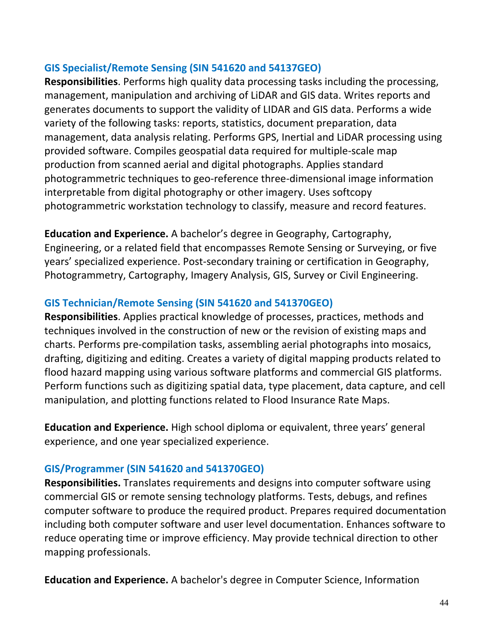### **GIS Specialist/Remote Sensing (SIN 541620 and 54137GEO)**

**Responsibilities**. Performs high quality data processing tasks including the processing, management, manipulation and archiving of LiDAR and GIS data. Writes reports and generates documents to support the validity of LIDAR and GIS data. Performs a wide variety of the following tasks: reports, statistics, document preparation, data management, data analysis relating. Performs GPS, Inertial and LiDAR processing using provided software. Compiles geospatial data required for multiple-scale map production from scanned aerial and digital photographs. Applies standard photogrammetric techniques to geo-reference three-dimensional image information interpretable from digital photography or other imagery. Uses softcopy photogrammetric workstation technology to classify, measure and record features.

**Education and Experience.** A bachelor's degree in Geography, Cartography, Engineering, or a related field that encompasses Remote Sensing or Surveying, or five years' specialized experience. Post-secondary training or certification in Geography, Photogrammetry, Cartography, Imagery Analysis, GIS, Survey or Civil Engineering.

### **GIS Technician/Remote Sensing (SIN 541620 and 541370GEO)**

**Responsibilities**. Applies practical knowledge of processes, practices, methods and techniques involved in the construction of new or the revision of existing maps and charts. Performs pre-compilation tasks, assembling aerial photographs into mosaics, drafting, digitizing and editing. Creates a variety of digital mapping products related to flood hazard mapping using various software platforms and commercial GIS platforms. Perform functions such as digitizing spatial data, type placement, data capture, and cell manipulation, and plotting functions related to Flood Insurance Rate Maps.

**Education and Experience.** High school diploma or equivalent, three years' general experience, and one year specialized experience.

### **GIS/Programmer (SIN 541620 and 541370GEO)**

**Responsibilities.** Translates requirements and designs into computer software using commercial GIS or remote sensing technology platforms. Tests, debugs, and refines computer software to produce the required product. Prepares required documentation including both computer software and user level documentation. Enhances software to reduce operating time or improve efficiency. May provide technical direction to other mapping professionals.

**Education and Experience.** A bachelor's degree in Computer Science, Information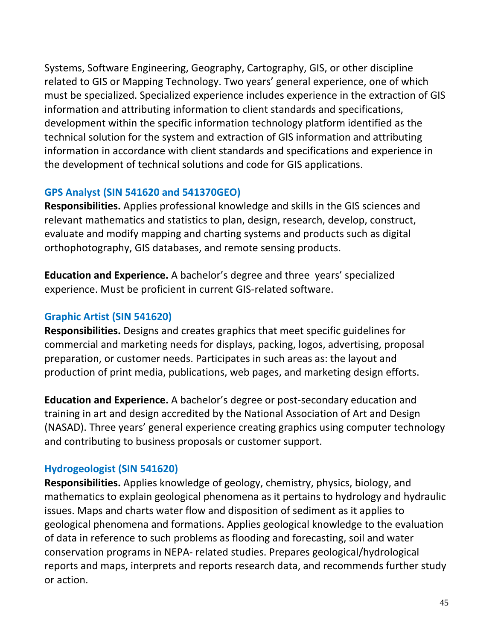Systems, Software Engineering, Geography, Cartography, GIS, or other discipline related to GIS or Mapping Technology. Two years' general experience, one of which must be specialized. Specialized experience includes experience in the extraction of GIS information and attributing information to client standards and specifications, development within the specific information technology platform identified as the technical solution for the system and extraction of GIS information and attributing information in accordance with client standards and specifications and experience in the development of technical solutions and code for GIS applications.

### **GPS Analyst (SIN 541620 and 541370GEO)**

**Responsibilities.** Applies professional knowledge and skills in the GIS sciences and relevant mathematics and statistics to plan, design, research, develop, construct, evaluate and modify mapping and charting systems and products such as digital orthophotography, GIS databases, and remote sensing products.

**Education and Experience.** A bachelor's degree and three years' specialized experience. Must be proficient in current GIS-related software.

## **Graphic Artist (SIN 541620)**

**Responsibilities.** Designs and creates graphics that meet specific guidelines for commercial and marketing needs for displays, packing, logos, advertising, proposal preparation, or customer needs. Participates in such areas as: the layout and production of print media, publications, web pages, and marketing design efforts.

**Education and Experience.** A bachelor's degree or post-secondary education and training in art and design accredited by the National Association of Art and Design (NASAD). Three years' general experience creating graphics using computer technology and contributing to business proposals or customer support.

### **Hydrogeologist (SIN 541620)**

**Responsibilities.** Applies knowledge of geology, chemistry, physics, biology, and mathematics to explain geological phenomena as it pertains to hydrology and hydraulic issues. Maps and charts water flow and disposition of sediment as it applies to geological phenomena and formations. Applies geological knowledge to the evaluation of data in reference to such problems as flooding and forecasting, soil and water conservation programs in NEPA- related studies. Prepares geological/hydrological reports and maps, interprets and reports research data, and recommends further study or action.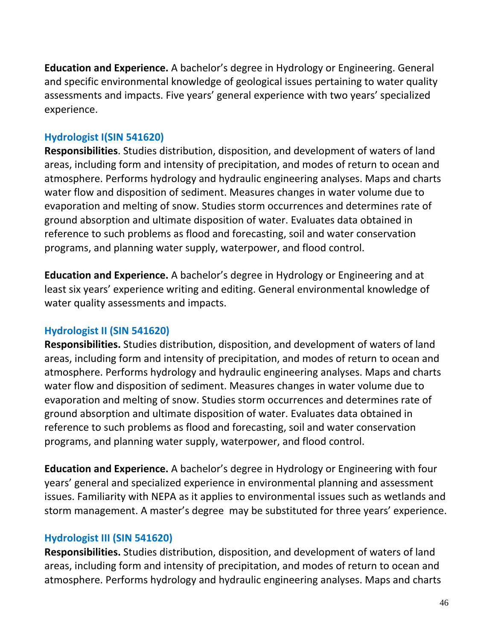**Education and Experience.** A bachelor's degree in Hydrology or Engineering. General and specific environmental knowledge of geological issues pertaining to water quality assessments and impacts. Five years' general experience with two years' specialized experience.

### **Hydrologist I(SIN 541620)**

**Responsibilities**. Studies distribution, disposition, and development of waters of land areas, including form and intensity of precipitation, and modes of return to ocean and atmosphere. Performs hydrology and hydraulic engineering analyses. Maps and charts water flow and disposition of sediment. Measures changes in water volume due to evaporation and melting of snow. Studies storm occurrences and determines rate of ground absorption and ultimate disposition of water. Evaluates data obtained in reference to such problems as flood and forecasting, soil and water conservation programs, and planning water supply, waterpower, and flood control.

**Education and Experience.** A bachelor's degree in Hydrology or Engineering and at least six years' experience writing and editing. General environmental knowledge of water quality assessments and impacts.

### **Hydrologist II (SIN 541620)**

**Responsibilities.** Studies distribution, disposition, and development of waters of land areas, including form and intensity of precipitation, and modes of return to ocean and atmosphere. Performs hydrology and hydraulic engineering analyses. Maps and charts water flow and disposition of sediment. Measures changes in water volume due to evaporation and melting of snow. Studies storm occurrences and determines rate of ground absorption and ultimate disposition of water. Evaluates data obtained in reference to such problems as flood and forecasting, soil and water conservation programs, and planning water supply, waterpower, and flood control.

**Education and Experience.** A bachelor's degree in Hydrology or Engineering with four years' general and specialized experience in environmental planning and assessment issues. Familiarity with NEPA as it applies to environmental issues such as wetlands and storm management. A master's degree may be substituted for three years' experience.

#### **Hydrologist III (SIN 541620)**

**Responsibilities.** Studies distribution, disposition, and development of waters of land areas, including form and intensity of precipitation, and modes of return to ocean and atmosphere. Performs hydrology and hydraulic engineering analyses. Maps and charts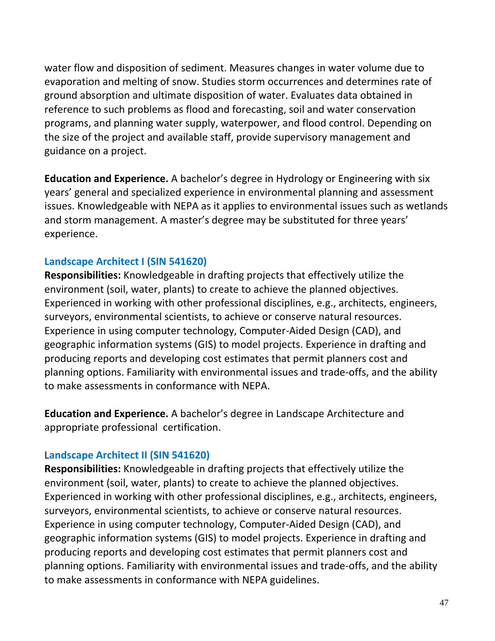water flow and disposition of sediment. Measures changes in water volume due to evaporation and melting of snow. Studies storm occurrences and determines rate of ground absorption and ultimate disposition of water. Evaluates data obtained in reference to such problems as flood and forecasting, soil and water conservation programs, and planning water supply, waterpower, and flood control. Depending on the size of the project and available staff, provide supervisory management and guidance on a project.

**Education and Experience.** A bachelor's degree in Hydrology or Engineering with six years' general and specialized experience in environmental planning and assessment issues. Knowledgeable with NEPA as it applies to environmental issues such as wetlands and storm management. A master's degree may be substituted for three years' experience.

### **Landscape Architect I (SIN 541620)**

**Responsibilities:** Knowledgeable in drafting projects that effectively utilize the environment (soil, water, plants) to create to achieve the planned objectives. Experienced in working with other professional disciplines, e.g., architects, engineers, surveyors, environmental scientists, to achieve or conserve natural resources. Experience in using computer technology, Computer-Aided Design (CAD), and geographic information systems (GIS) to model projects. Experience in drafting and producing reports and developing cost estimates that permit planners cost and planning options. Familiarity with environmental issues and trade-offs, and the ability to make assessments in conformance with NEPA.

**Education and Experience.** A bachelor's degree in Landscape Architecture and appropriate professional certification.

### L**andscape Architect II (SIN 541620)**

**Responsibilities:** Knowledgeable in drafting projects that effectively utilize the environment (soil, water, plants) to create to achieve the planned objectives. Experienced in working with other professional disciplines, e.g., architects, engineers, surveyors, environmental scientists, to achieve or conserve natural resources. Experience in using computer technology, Computer-Aided Design (CAD), and geographic information systems (GIS) to model projects. Experience in drafting and producing reports and developing cost estimates that permit planners cost and planning options. Familiarity with environmental issues and trade-offs, and the ability to make assessments in conformance with NEPA guidelines.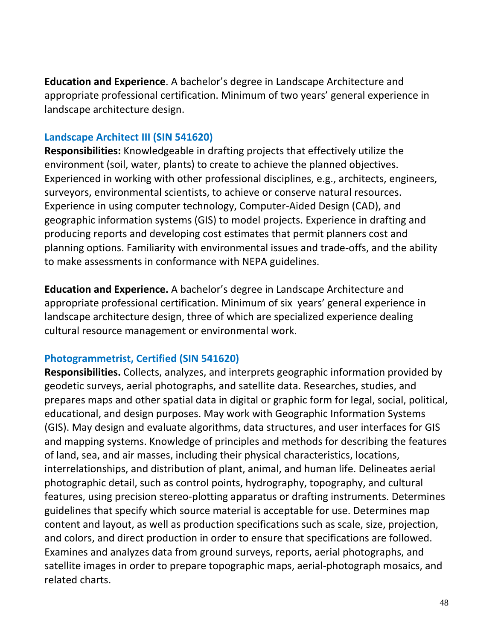**Education and Experience**. A bachelor's degree in Landscape Architecture and appropriate professional certification. Minimum of two years' general experience in landscape architecture design.

### **Landscape Architect III (SIN 541620)**

**Responsibilities:** Knowledgeable in drafting projects that effectively utilize the environment (soil, water, plants) to create to achieve the planned objectives. Experienced in working with other professional disciplines, e.g., architects, engineers, surveyors, environmental scientists, to achieve or conserve natural resources. Experience in using computer technology, Computer-Aided Design (CAD), and geographic information systems (GIS) to model projects. Experience in drafting and producing reports and developing cost estimates that permit planners cost and planning options. Familiarity with environmental issues and trade-offs, and the ability to make assessments in conformance with NEPA guidelines.

**Education and Experience.** A bachelor's degree in Landscape Architecture and appropriate professional certification. Minimum of six years' general experience in landscape architecture design, three of which are specialized experience dealing cultural resource management or environmental work.

### **Photogrammetrist, Certified (SIN 541620)**

**Responsibilities.** Collects, analyzes, and interprets geographic information provided by geodetic surveys, aerial photographs, and satellite data. Researches, studies, and prepares maps and other spatial data in digital or graphic form for legal, social, political, educational, and design purposes. May work with Geographic Information Systems (GIS). May design and evaluate algorithms, data structures, and user interfaces for GIS and mapping systems. Knowledge of principles and methods for describing the features of land, sea, and air masses, including their physical characteristics, locations, interrelationships, and distribution of plant, animal, and human life. Delineates aerial photographic detail, such as control points, hydrography, topography, and cultural features, using precision stereo-plotting apparatus or drafting instruments. Determines guidelines that specify which source material is acceptable for use. Determines map content and layout, as well as production specifications such as scale, size, projection, and colors, and direct production in order to ensure that specifications are followed. Examines and analyzes data from ground surveys, reports, aerial photographs, and satellite images in order to prepare topographic maps, aerial-photograph mosaics, and related charts.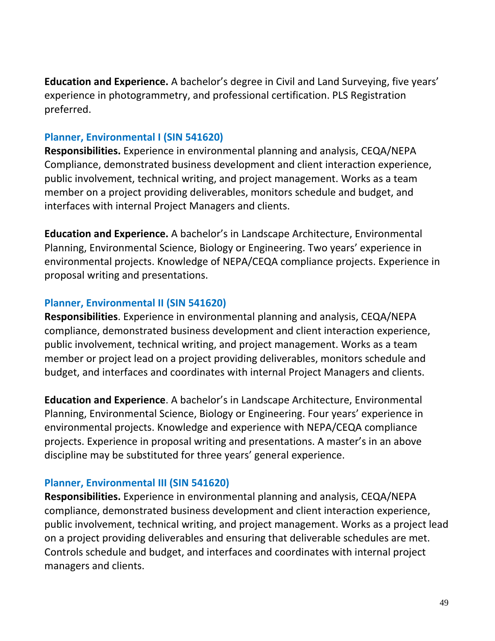**Education and Experience.** A bachelor's degree in Civil and Land Surveying, five years' experience in photogrammetry, and professional certification. PLS Registration preferred.

### **Planner, Environmental I (SIN 541620)**

**Responsibilities.** Experience in environmental planning and analysis, CEQA/NEPA Compliance, demonstrated business development and client interaction experience, public involvement, technical writing, and project management. Works as a team member on a project providing deliverables, monitors schedule and budget, and interfaces with internal Project Managers and clients.

**Education and Experience.** A bachelor's in Landscape Architecture, Environmental Planning, Environmental Science, Biology or Engineering. Two years' experience in environmental projects. Knowledge of NEPA/CEQA compliance projects. Experience in proposal writing and presentations.

### **Planner, Environmental II (SIN 541620)**

**Responsibilities**. Experience in environmental planning and analysis, CEQA/NEPA compliance, demonstrated business development and client interaction experience, public involvement, technical writing, and project management. Works as a team member or project lead on a project providing deliverables, monitors schedule and budget, and interfaces and coordinates with internal Project Managers and clients.

**Education and Experience**. A bachelor's in Landscape Architecture, Environmental Planning, Environmental Science, Biology or Engineering. Four years' experience in environmental projects. Knowledge and experience with NEPA/CEQA compliance projects. Experience in proposal writing and presentations. A master's in an above discipline may be substituted for three years' general experience.

### **Planner, Environmental III (SIN 541620)**

**Responsibilities.** Experience in environmental planning and analysis, CEQA/NEPA compliance, demonstrated business development and client interaction experience, public involvement, technical writing, and project management. Works as a project lead on a project providing deliverables and ensuring that deliverable schedules are met. Controls schedule and budget, and interfaces and coordinates with internal project managers and clients.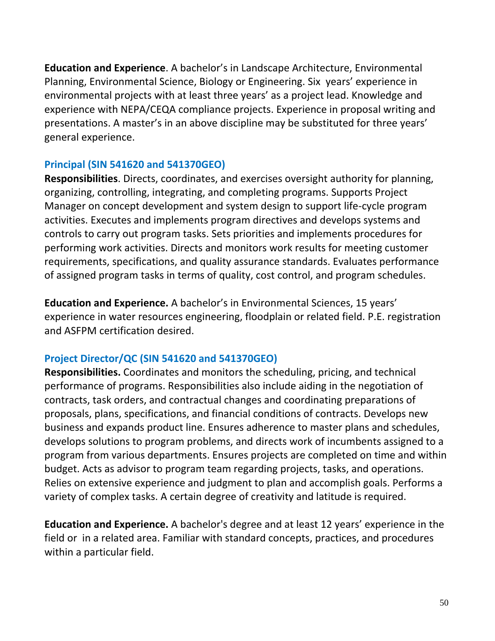**Education and Experience**. A bachelor's in Landscape Architecture, Environmental Planning, Environmental Science, Biology or Engineering. Six years' experience in environmental projects with at least three years' as a project lead. Knowledge and experience with NEPA/CEQA compliance projects. Experience in proposal writing and presentations. A master's in an above discipline may be substituted for three years' general experience.

### **Principal (SIN 541620 and 541370GEO)**

**Responsibilities**. Directs, coordinates, and exercises oversight authority for planning, organizing, controlling, integrating, and completing programs. Supports Project Manager on concept development and system design to support life-cycle program activities. Executes and implements program directives and develops systems and controls to carry out program tasks. Sets priorities and implements procedures for performing work activities. Directs and monitors work results for meeting customer requirements, specifications, and quality assurance standards. Evaluates performance of assigned program tasks in terms of quality, cost control, and program schedules.

**Education and Experience.** A bachelor's in Environmental Sciences, 15 years' experience in water resources engineering, floodplain or related field. P.E. registration and ASFPM certification desired.

### **Project Director/QC (SIN 541620 and 541370GEO)**

**Responsibilities.** Coordinates and monitors the scheduling, pricing, and technical performance of programs. Responsibilities also include aiding in the negotiation of contracts, task orders, and contractual changes and coordinating preparations of proposals, plans, specifications, and financial conditions of contracts. Develops new business and expands product line. Ensures adherence to master plans and schedules, develops solutions to program problems, and directs work of incumbents assigned to a program from various departments. Ensures projects are completed on time and within budget. Acts as advisor to program team regarding projects, tasks, and operations. Relies on extensive experience and judgment to plan and accomplish goals. Performs a variety of complex tasks. A certain degree of creativity and latitude is required.

**Education and Experience.** A bachelor's degree and at least 12 years' experience in the field or in a related area. Familiar with standard concepts, practices, and procedures within a particular field.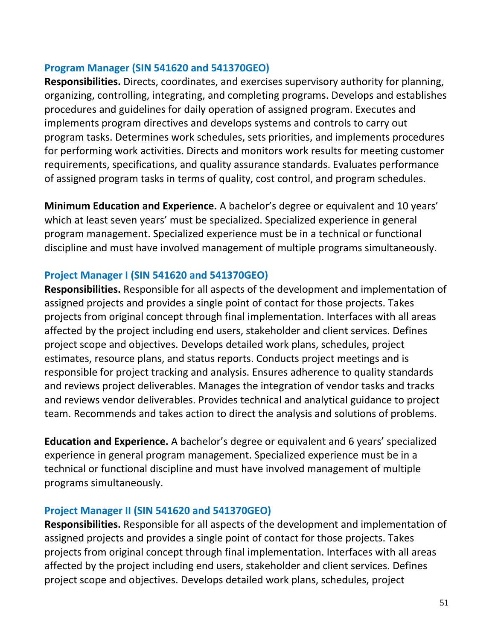#### **Program Manager (SIN 541620 and 541370GEO)**

**Responsibilities.** Directs, coordinates, and exercises supervisory authority for planning, organizing, controlling, integrating, and completing programs. Develops and establishes procedures and guidelines for daily operation of assigned program. Executes and implements program directives and develops systems and controls to carry out program tasks. Determines work schedules, sets priorities, and implements procedures for performing work activities. Directs and monitors work results for meeting customer requirements, specifications, and quality assurance standards. Evaluates performance of assigned program tasks in terms of quality, cost control, and program schedules.

**Minimum Education and Experience.** A bachelor's degree or equivalent and 10 years' which at least seven years' must be specialized. Specialized experience in general program management. Specialized experience must be in a technical or functional discipline and must have involved management of multiple programs simultaneously.

### **Project Manager I (SIN 541620 and 541370GEO)**

**Responsibilities.** Responsible for all aspects of the development and implementation of assigned projects and provides a single point of contact for those projects. Takes projects from original concept through final implementation. Interfaces with all areas affected by the project including end users, stakeholder and client services. Defines project scope and objectives. Develops detailed work plans, schedules, project estimates, resource plans, and status reports. Conducts project meetings and is responsible for project tracking and analysis. Ensures adherence to quality standards and reviews project deliverables. Manages the integration of vendor tasks and tracks and reviews vendor deliverables. Provides technical and analytical guidance to project team. Recommends and takes action to direct the analysis and solutions of problems.

**Education and Experience.** A bachelor's degree or equivalent and 6 years' specialized experience in general program management. Specialized experience must be in a technical or functional discipline and must have involved management of multiple programs simultaneously.

### **Project Manager II (SIN 541620 and 541370GEO)**

**Responsibilities.** Responsible for all aspects of the development and implementation of assigned projects and provides a single point of contact for those projects. Takes projects from original concept through final implementation. Interfaces with all areas affected by the project including end users, stakeholder and client services. Defines project scope and objectives. Develops detailed work plans, schedules, project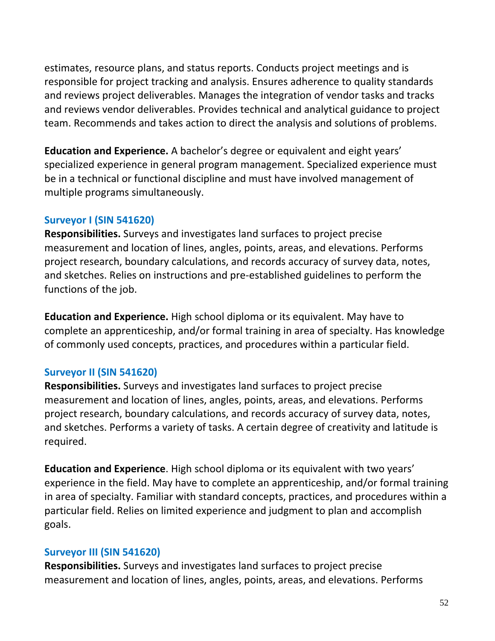estimates, resource plans, and status reports. Conducts project meetings and is responsible for project tracking and analysis. Ensures adherence to quality standards and reviews project deliverables. Manages the integration of vendor tasks and tracks and reviews vendor deliverables. Provides technical and analytical guidance to project team. Recommends and takes action to direct the analysis and solutions of problems.

**Education and Experience.** A bachelor's degree or equivalent and eight years' specialized experience in general program management. Specialized experience must be in a technical or functional discipline and must have involved management of multiple programs simultaneously.

### **Surveyor I (SIN 541620)**

**Responsibilities.** Surveys and investigates land surfaces to project precise measurement and location of lines, angles, points, areas, and elevations. Performs project research, boundary calculations, and records accuracy of survey data, notes, and sketches. Relies on instructions and pre-established guidelines to perform the functions of the job.

**Education and Experience.** High school diploma or its equivalent. May have to complete an apprenticeship, and/or formal training in area of specialty. Has knowledge of commonly used concepts, practices, and procedures within a particular field.

### **Surveyor II (SIN 541620)**

**Responsibilities.** Surveys and investigates land surfaces to project precise measurement and location of lines, angles, points, areas, and elevations. Performs project research, boundary calculations, and records accuracy of survey data, notes, and sketches. Performs a variety of tasks. A certain degree of creativity and latitude is required.

**Education and Experience**. High school diploma or its equivalent with two years' experience in the field. May have to complete an apprenticeship, and/or formal training in area of specialty. Familiar with standard concepts, practices, and procedures within a particular field. Relies on limited experience and judgment to plan and accomplish goals.

### **Surveyor III (SIN 541620)**

**Responsibilities.** Surveys and investigates land surfaces to project precise measurement and location of lines, angles, points, areas, and elevations. Performs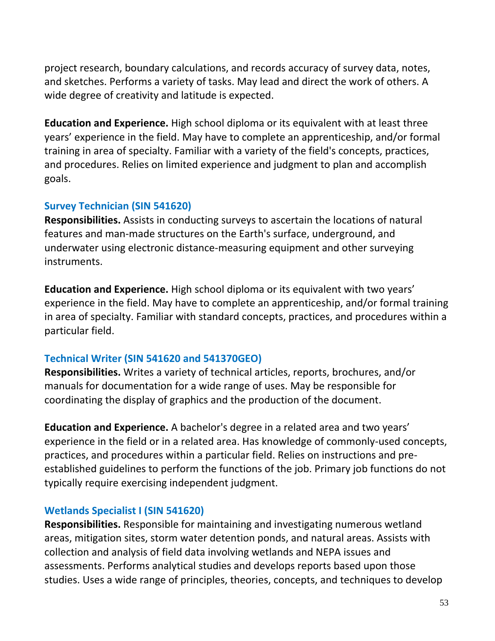project research, boundary calculations, and records accuracy of survey data, notes, and sketches. Performs a variety of tasks. May lead and direct the work of others. A wide degree of creativity and latitude is expected.

**Education and Experience.** High school diploma or its equivalent with at least three years' experience in the field. May have to complete an apprenticeship, and/or formal training in area of specialty. Familiar with a variety of the field's concepts, practices, and procedures. Relies on limited experience and judgment to plan and accomplish goals.

### **Survey Technician (SIN 541620)**

**Responsibilities.** Assists in conducting surveys to ascertain the locations of natural features and man-made structures on the Earth's surface, underground, and underwater using electronic distance-measuring equipment and other surveying instruments.

**Education and Experience.** High school diploma or its equivalent with two years' experience in the field. May have to complete an apprenticeship, and/or formal training in area of specialty. Familiar with standard concepts, practices, and procedures within a particular field.

### **Technical Writer (SIN 541620 and 541370GEO)**

**Responsibilities.** Writes a variety of technical articles, reports, brochures, and/or manuals for documentation for a wide range of uses. May be responsible for coordinating the display of graphics and the production of the document.

**Education and Experience.** A bachelor's degree in a related area and two years' experience in the field or in a related area. Has knowledge of commonly-used concepts, practices, and procedures within a particular field. Relies on instructions and preestablished guidelines to perform the functions of the job. Primary job functions do not typically require exercising independent judgment.

### **Wetlands Specialist I (SIN 541620)**

**Responsibilities.** Responsible for maintaining and investigating numerous wetland areas, mitigation sites, storm water detention ponds, and natural areas. Assists with collection and analysis of field data involving wetlands and NEPA issues and assessments. Performs analytical studies and develops reports based upon those studies. Uses a wide range of principles, theories, concepts, and techniques to develop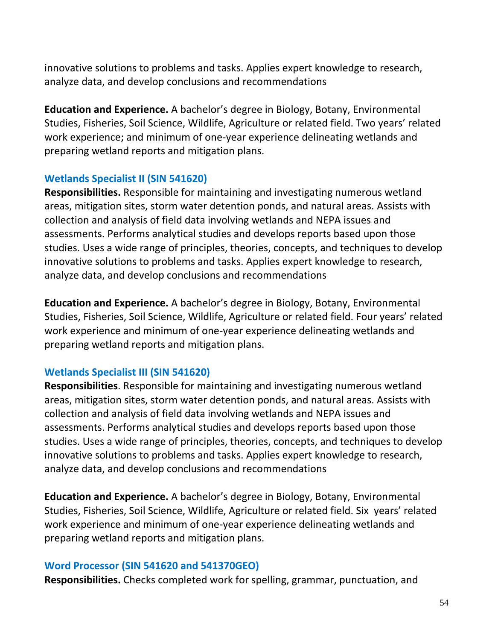innovative solutions to problems and tasks. Applies expert knowledge to research, analyze data, and develop conclusions and recommendations

**Education and Experience.** A bachelor's degree in Biology, Botany, Environmental Studies, Fisheries, Soil Science, Wildlife, Agriculture or related field. Two years' related work experience; and minimum of one-year experience delineating wetlands and preparing wetland reports and mitigation plans.

### **Wetlands Specialist II (SIN 541620)**

**Responsibilities.** Responsible for maintaining and investigating numerous wetland areas, mitigation sites, storm water detention ponds, and natural areas. Assists with collection and analysis of field data involving wetlands and NEPA issues and assessments. Performs analytical studies and develops reports based upon those studies. Uses a wide range of principles, theories, concepts, and techniques to develop innovative solutions to problems and tasks. Applies expert knowledge to research, analyze data, and develop conclusions and recommendations

**Education and Experience.** A bachelor's degree in Biology, Botany, Environmental Studies, Fisheries, Soil Science, Wildlife, Agriculture or related field. Four years' related work experience and minimum of one-year experience delineating wetlands and preparing wetland reports and mitigation plans.

### **Wetlands Specialist III (SIN 541620)**

**Responsibilities**. Responsible for maintaining and investigating numerous wetland areas, mitigation sites, storm water detention ponds, and natural areas. Assists with collection and analysis of field data involving wetlands and NEPA issues and assessments. Performs analytical studies and develops reports based upon those studies. Uses a wide range of principles, theories, concepts, and techniques to develop innovative solutions to problems and tasks. Applies expert knowledge to research, analyze data, and develop conclusions and recommendations

**Education and Experience.** A bachelor's degree in Biology, Botany, Environmental Studies, Fisheries, Soil Science, Wildlife, Agriculture or related field. Six years' related work experience and minimum of one-year experience delineating wetlands and preparing wetland reports and mitigation plans.

### **Word Processor (SIN 541620 and 541370GEO)**

**Responsibilities.** Checks completed work for spelling, grammar, punctuation, and